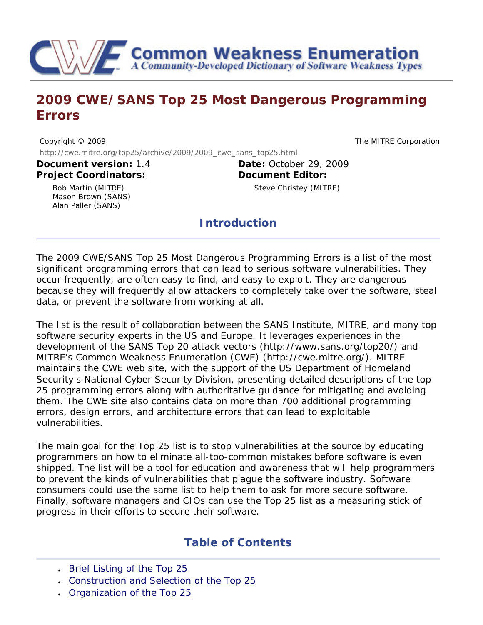

# **2009 CWE/SANS Top 25 Most Dangerous Programming Errors**

Copyright © 2009 The MITRE Corporation http://cwe.mitre.org/top25/archive/2009/2009\_cwe\_sans\_top25.html

**Project Coordinators:**

**Document version:** 1.4 **Date:** October 29, 2009 **Document Editor:**

Steve Christey (MITRE)

Bob Martin (MITRE) Mason Brown (SANS) Alan Paller (SANS)

**Introduction**

The 2009 CWE/SANS Top 25 Most Dangerous Programming Errors is a list of the most significant programming errors that can lead to serious software vulnerabilities. They occur frequently, are often easy to find, and easy to exploit. They are dangerous because they will frequently allow attackers to completely take over the software, steal data, or prevent the software from working at all.

The list is the result of collaboration between the SANS Institute, MITRE, and many top software security experts in the US and Europe. It leverages experiences in the development of the SANS Top 20 attack vectors (http://www.sans.org/top20/) and MITRE's Common Weakness Enumeration (CWE) (http://cwe.mitre.org/). MITRE maintains the CWE web site, with the support of the US Department of Homeland Security's National Cyber Security Division, presenting detailed descriptions of the top 25 programming errors along with authoritative guidance for mitigating and avoiding them. The CWE site also contains data on more than 700 additional programming errors, design errors, and architecture errors that can lead to exploitable vulnerabilities.

The main goal for the Top 25 list is to stop vulnerabilities at the source by educating programmers on how to eliminate all-too-common mistakes before software is even shipped. The list will be a tool for education and awareness that will help programmers to prevent the kinds of vulnerabilities that plague the software industry. Software consumers could use the same list to help them to ask for more secure software. Finally, software managers and CIOs can use the Top 25 list as a measuring stick of progress in their efforts to secure their software.

# **Table of Contents**

- [Brief Listing of the Top 25](#page-1-0)
- [Construction and Selection of the Top 25](#page-2-0)
- [Organization of the Top 25](#page-2-1)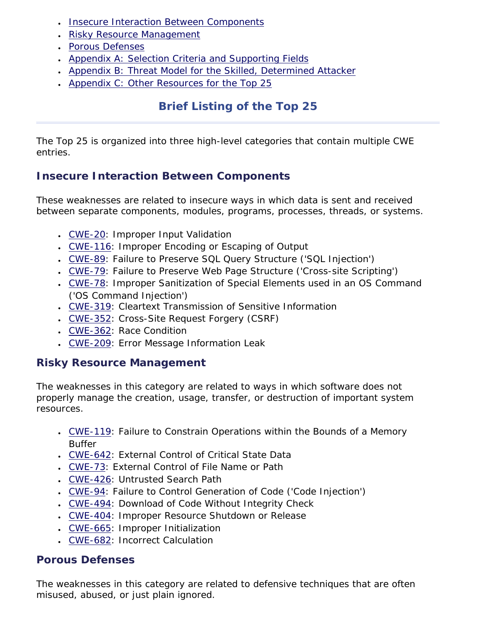- [Insecure Interaction Between Components](#page-3-0)
- [Risky Resource Management](#page-19-0)
- [Porous Defenses](#page-33-0)
- [Appendix A: Selection Criteria and Supporting Fields](#page-43-0)
- [Appendix B: Threat Model for the Skilled, Determined Attacker](#page-45-0)
- [Appendix C: Other Resources for the Top 25](#page-46-0)

# **Brief Listing of the Top 25**

<span id="page-1-0"></span>The Top 25 is organized into three high-level categories that contain multiple CWE entries.

# **Insecure Interaction Between Components**

These weaknesses are related to insecure ways in which data is sent and received between separate components, modules, programs, processes, threads, or systems.

- [CWE-20:](#page-3-1) Improper Input Validation
- [CWE-116](#page-5-0): Improper Encoding or Escaping of Output
- [CWE-89:](#page-7-0) Failure to Preserve SQL Query Structure ('SQL Injection')
- [CWE-79:](#page-9-0) Failure to Preserve Web Page Structure ('Cross-site Scripting')
- [CWE-78:](#page-11-0) Improper Sanitization of Special Elements used in an OS Command ('OS Command Injection')
- [CWE-319](#page-14-0): Cleartext Transmission of Sensitive Information
- [CWE-352](#page-15-0): Cross-Site Request Forgery (CSRF)
- [CWE-362](#page-16-0): Race Condition
- [CWE-209](#page-18-0): Error Message Information Leak

# **Risky Resource Management**

The weaknesses in this category are related to ways in which software does not properly manage the creation, usage, transfer, or destruction of important system resources.

- [CWE-119](#page-19-1): Failure to Constrain Operations within the Bounds of a Memory Buffer
- [CWE-642](#page-21-0): External Control of Critical State Data
- [CWE-73:](#page-23-0) External Control of File Name or Path
- [CWE-426](#page-24-0): Untrusted Search Path
- [CWE-94:](#page-26-0) Failure to Control Generation of Code ('Code Injection')
- [CWE-494](#page-27-0): Download of Code Without Integrity Check
- [CWE-404](#page-29-0): Improper Resource Shutdown or Release
- [CWE-665](#page-30-0): Improper Initialization
- [CWE-682](#page-32-0): Incorrect Calculation

# **Porous Defenses**

The weaknesses in this category are related to defensive techniques that are often misused, abused, or just plain ignored.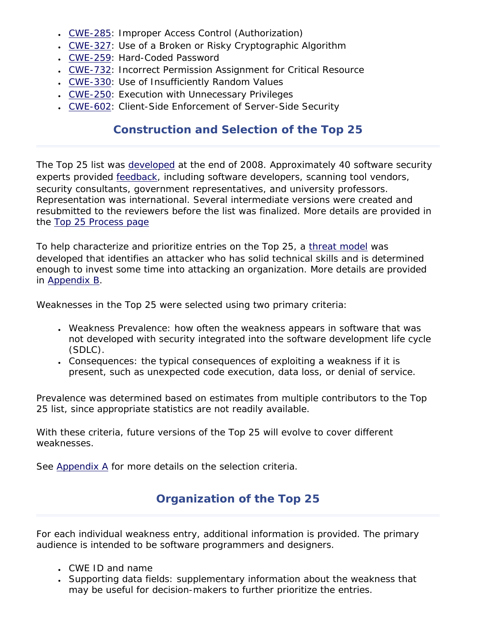- [CWE-285](#page-33-1): Improper Access Control (Authorization)
- [CWE-327](#page-34-0): Use of a Broken or Risky Cryptographic Algorithm
- [CWE-259](#page-35-0): Hard-Coded Password
- [CWE-732](#page-37-0): Incorrect Permission Assignment for Critical Resource
- [CWE-330](#page-39-0): Use of Insufficiently Random Values
- [CWE-250](#page-40-0): Execution with Unnecessary Privileges
- [CWE-602](#page-42-0): Client-Side Enforcement of Server-Side Security

# **Construction and Selection of the Top 25**

<span id="page-2-0"></span>The Top 25 list was [developed](http://cwe.mitre.org/top25/process.html) at the end of 2008. Approximately 40 software security experts provided [feedback,](http://cwe.mitre.org/top25/changelog.html) including software developers, scanning tool vendors, security consultants, government representatives, and university professors. Representation was international. Several intermediate versions were created and resubmitted to the reviewers before the list was finalized. More details are provided in the [Top 25 Process page](http://cwe.mitre.org/top25/process.html)

To help characterize and prioritize entries on the Top 25, a [threat model](#page-45-0) was developed that identifies an attacker who has solid technical skills and is determined enough to invest some time into attacking an organization. More details are provided in [Appendix B](#page-45-0).

Weaknesses in the Top 25 were selected using two primary criteria:

- Weakness Prevalence: how often the weakness appears in software that was not developed with security integrated into the software development life cycle (SDLC).
- Consequences: the typical consequences of exploiting a weakness if it is present, such as unexpected code execution, data loss, or denial of service.

Prevalence was determined based on estimates from multiple contributors to the Top 25 list, since appropriate statistics are not readily available.

With these criteria, future versions of the Top 25 will evolve to cover different weaknesses.

<span id="page-2-1"></span>See [Appendix A](#page-43-0) for more details on the selection criteria.

# **Organization of the Top 25**

For each individual weakness entry, additional information is provided. The primary audience is intended to be software programmers and designers.

- CWE ID and name
- Supporting data fields: supplementary information about the weakness that may be useful for decision-makers to further prioritize the entries.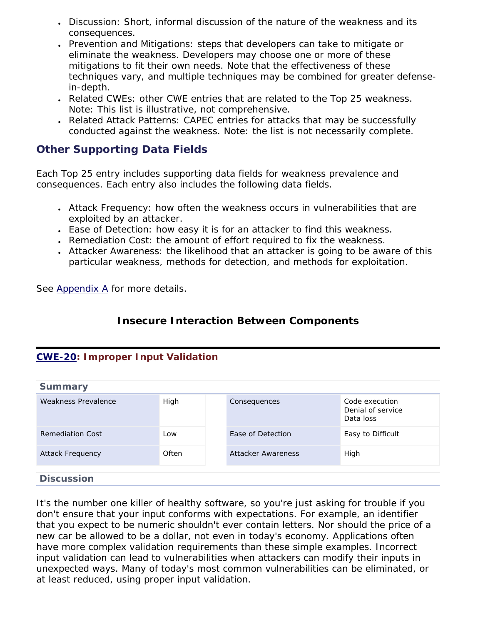- Discussion: Short, informal discussion of the nature of the weakness and its consequences.
- Prevention and Mitigations: steps that developers can take to mitigate or eliminate the weakness. Developers may choose one or more of these mitigations to fit their own needs. Note that the effectiveness of these techniques vary, and multiple techniques may be combined for greater defensein-depth.
- Related CWEs: other CWE entries that are related to the Top 25 weakness. Note: This list is illustrative, not comprehensive.
- Related Attack Patterns: CAPEC entries for attacks that may be successfully conducted against the weakness. Note: the list is not necessarily complete.

## **Other Supporting Data Fields**

Each Top 25 entry includes supporting data fields for weakness prevalence and consequences. Each entry also includes the following data fields.

- Attack Frequency: how often the weakness occurs in vulnerabilities that are exploited by an attacker.
- Ease of Detection: how easy it is for an attacker to find this weakness.
- Remediation Cost: the amount of effort required to fix the weakness.
- Attacker Awareness: the likelihood that an attacker is going to be aware of this particular weakness, methods for detection, and methods for exploitation.

<span id="page-3-0"></span>See [Appendix A](#page-43-0) for more details.

### **Insecure Interaction Between Components**

### <span id="page-3-1"></span>**[CWE-20](http://cwe.mitre.org/data/definitions/20.html): Improper Input Validation**

| <b>Summary</b>          |       |                    |                                                  |
|-------------------------|-------|--------------------|--------------------------------------------------|
| Weakness Prevalence     | High  | Consequences       | Code execution<br>Denial of service<br>Data loss |
| <b>Remediation Cost</b> | Low   | Ease of Detection  | Easy to Difficult                                |
| <b>Attack Frequency</b> | Often | Attacker Awareness | High                                             |
|                         |       |                    |                                                  |
| <b>Discussion</b>       |       |                    |                                                  |

It's the number one killer of healthy software, so you're just asking for trouble if you don't ensure that your input conforms with expectations. For example, an identifier that you expect to be numeric shouldn't ever contain letters. Nor should the price of a new car be allowed to be a dollar, not even in today's economy. Applications often have more complex validation requirements than these simple examples. Incorrect input validation can lead to vulnerabilities when attackers can modify their inputs in unexpected ways. Many of today's most common vulnerabilities can be eliminated, or at least reduced, using proper input validation.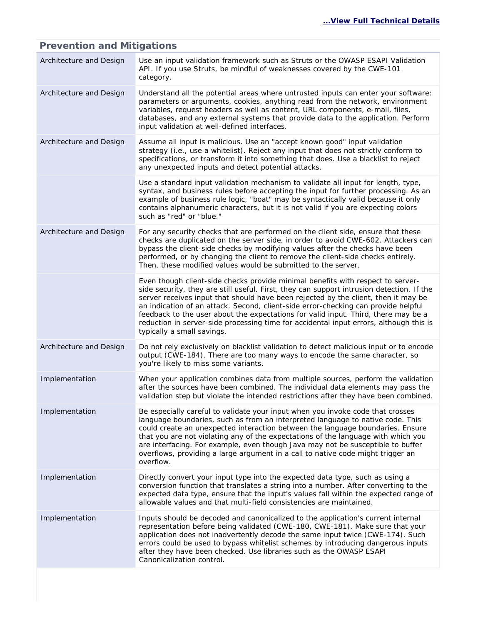#### Architecture and Design Use an input validation framework such as Struts or the OWASP ESAPI Validation API. If you use Struts, be mindful of weaknesses covered by the CWE-101 category. Architecture and Design Understand all the potential areas where untrusted inputs can enter your software: parameters or arguments, cookies, anything read from the network, environment variables, request headers as well as content, URL components, e-mail, files, databases, and any external systems that provide data to the application. Perform input validation at well-defined interfaces. Architecture and Design Assume all input is malicious. Use an "accept known good" input validation strategy (i.e., use a whitelist). Reject any input that does not strictly conform to specifications, or transform it into something that does. Use a blacklist to reject any unexpected inputs and detect potential attacks. Use a standard input validation mechanism to validate all input for length, type, syntax, and business rules before accepting the input for further processing. As an example of business rule logic, "boat" may be syntactically valid because it only contains alphanumeric characters, but it is not valid if you are expecting colors such as "red" or "blue." Architecture and Design For any security checks that are performed on the client side, ensure that these checks are duplicated on the server side, in order to avoid CWE-602. Attackers can bypass the client-side checks by modifying values after the checks have been performed, or by changing the client to remove the client-side checks entirely. Then, these modified values would be submitted to the server. Even though client-side checks provide minimal benefits with respect to serverside security, they are still useful. First, they can support intrusion detection. If the server receives input that should have been rejected by the client, then it may be an indication of an attack. Second, client-side error-checking can provide helpful feedback to the user about the expectations for valid input. Third, there may be a reduction in server-side processing time for accidental input errors, although this is typically a small savings. Architecture and Design Do not rely exclusively on blacklist validation to detect malicious input or to encode output (CWE-184). There are too many ways to encode the same character, so you're likely to miss some variants. Implementation When your application combines data from multiple sources, perform the validation after the sources have been combined. The individual data elements may pass the validation step but violate the intended restrictions after they have been combined. Implementation Be especially careful to validate your input when you invoke code that crosses language boundaries, such as from an interpreted language to native code. This could create an unexpected interaction between the language boundaries. Ensure that you are not violating any of the expectations of the language with which you are interfacing. For example, even though Java may not be susceptible to buffer overflows, providing a large argument in a call to native code might trigger an overflow. Implementation Directly convert your input type into the expected data type, such as using a conversion function that translates a string into a number. After converting to the expected data type, ensure that the input's values fall within the expected range of allowable values and that multi-field consistencies are maintained. Implementation Inputs should be decoded and canonicalized to the application's current internal representation before being validated (CWE-180, CWE-181). Make sure that your application does not inadvertently decode the same input twice (CWE-174). Such errors could be used to bypass whitelist schemes by introducing dangerous inputs after they have been checked. Use libraries such as the OWASP ESAPI Canonicalization control.

#### **Prevention and Mitigations**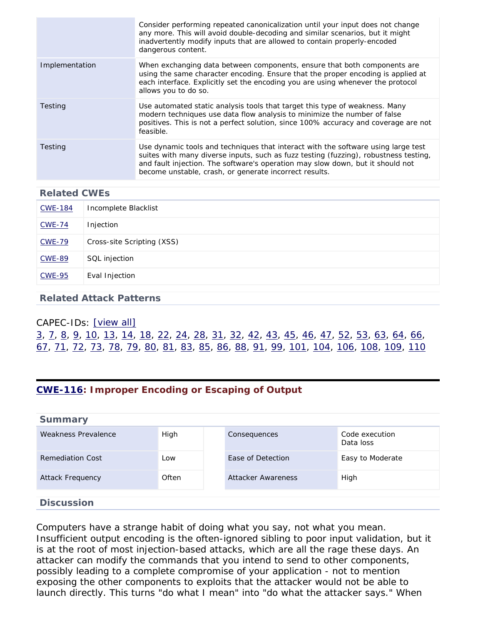|                | Consider performing repeated canonicalization until your input does not change<br>any more. This will avoid double-decoding and similar scenarios, but it might<br>inadvertently modify inputs that are allowed to contain properly-encoded<br>dangerous content.                                                     |
|----------------|-----------------------------------------------------------------------------------------------------------------------------------------------------------------------------------------------------------------------------------------------------------------------------------------------------------------------|
| Implementation | When exchanging data between components, ensure that both components are<br>using the same character encoding. Ensure that the proper encoding is applied at<br>each interface. Explicitly set the encoding you are using whenever the protocol<br>allows you to do so.                                               |
| Testing        | Use automated static analysis tools that target this type of weakness. Many<br>modern techniques use data flow analysis to minimize the number of false<br>positives. This is not a perfect solution, since 100% accuracy and coverage are not<br>feasible.                                                           |
| Testing        | Use dynamic tools and techniques that interact with the software using large test<br>suites with many diverse inputs, such as fuzz testing (fuzzing), robustness testing,<br>and fault injection. The software's operation may slow down, but it should not<br>become unstable, crash, or generate incorrect results. |

| <b>CWE-184</b> | Incomplete Blacklist       |
|----------------|----------------------------|
| <b>CWE-74</b>  | Injection                  |
| <b>CWE-79</b>  | Cross-site Scripting (XSS) |
| <b>CWE-89</b>  | SQL injection              |
| <b>CWE-95</b>  | Eval Injection             |

#### **Related Attack Patterns**

### CAPEC-IDs: [\[view all\]](http://cwe.mitre.org/data/definitions/20.html#Related_Attack_Patterns) [3](http://capec.mitre.org/data/definitions/3.html), [7,](http://capec.mitre.org/data/definitions/7.html) [8,](http://capec.mitre.org/data/definitions/8.html) [9](http://capec.mitre.org/data/definitions/9.html), [10](http://capec.mitre.org/data/definitions/10.html), [13,](http://capec.mitre.org/data/definitions/13.html) [14,](http://capec.mitre.org/data/definitions/14.html) [18,](http://capec.mitre.org/data/definitions/18.html) [22,](http://capec.mitre.org/data/definitions/22.html) [24,](http://capec.mitre.org/data/definitions/24.html) [28](http://capec.mitre.org/data/definitions/28.html), [31](http://capec.mitre.org/data/definitions/31.html), [32](http://capec.mitre.org/data/definitions/32.html), [42](http://capec.mitre.org/data/definitions/42.html), [43](http://capec.mitre.org/data/definitions/43.html), [45,](http://capec.mitre.org/data/definitions/45.html) [46,](http://capec.mitre.org/data/definitions/46.html) [47,](http://capec.mitre.org/data/definitions/47.html) [52,](http://capec.mitre.org/data/definitions/52.html) [53](http://capec.mitre.org/data/definitions/53.html), [63](http://capec.mitre.org/data/definitions/63.html), [64](http://capec.mitre.org/data/definitions/64.html), [66](http://capec.mitre.org/data/definitions/66.html), [67,](http://capec.mitre.org/data/definitions/67.html) [71,](http://capec.mitre.org/data/definitions/71.html) [72,](http://capec.mitre.org/data/definitions/72.html) [73](http://capec.mitre.org/data/definitions/73.html), [78](http://capec.mitre.org/data/definitions/78.html), [79](http://capec.mitre.org/data/definitions/79.html), [80](http://capec.mitre.org/data/definitions/80.html), [81](http://capec.mitre.org/data/definitions/81.html), [83,](http://capec.mitre.org/data/definitions/83.html) [85,](http://capec.mitre.org/data/definitions/85.html) [86,](http://capec.mitre.org/data/definitions/86.html) [88,](http://capec.mitre.org/data/definitions/88.html) [91,](http://capec.mitre.org/data/definitions/91.html) [99](http://capec.mitre.org/data/definitions/99.html), [101,](http://capec.mitre.org/data/definitions/101.html) [104,](http://capec.mitre.org/data/definitions/104.html) [106](http://capec.mitre.org/data/definitions/106.html), [108](http://capec.mitre.org/data/definitions/108.html), [109,](http://capec.mitre.org/data/definitions/109.html) [110](http://capec.mitre.org/data/definitions/110.html)

### <span id="page-5-0"></span>**[CWE-116](http://cwe.mitre.org/data/definitions/116.html): Improper Encoding or Escaping of Output**

| <b>Summary</b>          |       |                    |                             |
|-------------------------|-------|--------------------|-----------------------------|
| Weakness Prevalence     | High  | Consequences       | Code execution<br>Data loss |
| <b>Remediation Cost</b> | Low   | Ease of Detection  | Easy to Moderate            |
| <b>Attack Frequency</b> | Often | Attacker Awareness | High                        |
| <b>Discussion</b>       |       |                    |                             |

Computers have a strange habit of doing what you say, not what you mean. Insufficient output encoding is the often-ignored sibling to poor input validation, but it is at the root of most injection-based attacks, which are all the rage these days. An attacker can modify the commands that you intend to send to other components, possibly leading to a complete compromise of your application - not to mention exposing the other components to exploits that the attacker would not be able to launch directly. This turns "do what I mean" into "do what the attacker says." When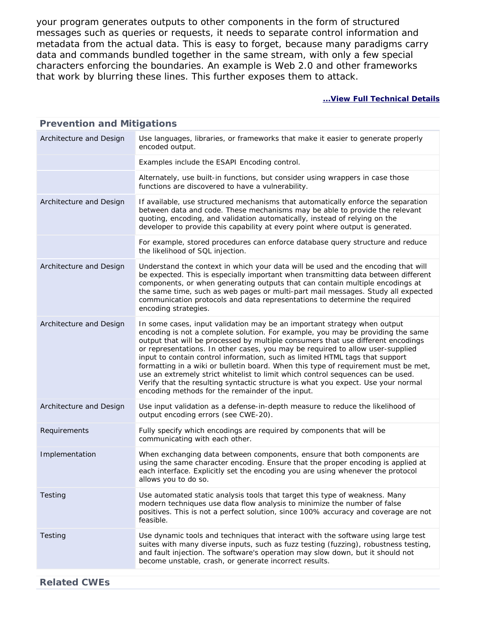your program generates outputs to other components in the form of structured messages such as queries or requests, it needs to separate control information and metadata from the actual data. This is easy to forget, because many paradigms carry data and commands bundled together in the same stream, with only a few special characters enforcing the boundaries. An example is Web 2.0 and other frameworks that work by blurring these lines. This further exposes them to attack.

| <b>Prevention and Mitigations</b> |                                                                                                                                                                                                                                                                                                                                                                                                                                                                                                                                                                                                                                                                                                                                     |
|-----------------------------------|-------------------------------------------------------------------------------------------------------------------------------------------------------------------------------------------------------------------------------------------------------------------------------------------------------------------------------------------------------------------------------------------------------------------------------------------------------------------------------------------------------------------------------------------------------------------------------------------------------------------------------------------------------------------------------------------------------------------------------------|
| Architecture and Design           | Use languages, libraries, or frameworks that make it easier to generate properly<br>encoded output.                                                                                                                                                                                                                                                                                                                                                                                                                                                                                                                                                                                                                                 |
|                                   | Examples include the ESAPI Encoding control.                                                                                                                                                                                                                                                                                                                                                                                                                                                                                                                                                                                                                                                                                        |
|                                   | Alternately, use built-in functions, but consider using wrappers in case those<br>functions are discovered to have a vulnerability.                                                                                                                                                                                                                                                                                                                                                                                                                                                                                                                                                                                                 |
| Architecture and Design           | If available, use structured mechanisms that automatically enforce the separation<br>between data and code. These mechanisms may be able to provide the relevant<br>quoting, encoding, and validation automatically, instead of relying on the<br>developer to provide this capability at every point where output is generated.                                                                                                                                                                                                                                                                                                                                                                                                    |
|                                   | For example, stored procedures can enforce database query structure and reduce<br>the likelihood of SQL injection.                                                                                                                                                                                                                                                                                                                                                                                                                                                                                                                                                                                                                  |
| Architecture and Design           | Understand the context in which your data will be used and the encoding that will<br>be expected. This is especially important when transmitting data between different<br>components, or when generating outputs that can contain multiple encodings at<br>the same time, such as web pages or multi-part mail messages. Study all expected<br>communication protocols and data representations to determine the required<br>encoding strategies.                                                                                                                                                                                                                                                                                  |
| Architecture and Design           | In some cases, input validation may be an important strategy when output<br>encoding is not a complete solution. For example, you may be providing the same<br>output that will be processed by multiple consumers that use different encodings<br>or representations. In other cases, you may be required to allow user-supplied<br>input to contain control information, such as limited HTML tags that support<br>formatting in a wiki or bulletin board. When this type of requirement must be met,<br>use an extremely strict whitelist to limit which control sequences can be used.<br>Verify that the resulting syntactic structure is what you expect. Use your normal<br>encoding methods for the remainder of the input. |
| Architecture and Design           | Use input validation as a defense-in-depth measure to reduce the likelihood of<br>output encoding errors (see CWE-20).                                                                                                                                                                                                                                                                                                                                                                                                                                                                                                                                                                                                              |
| Requirements                      | Fully specify which encodings are required by components that will be<br>communicating with each other.                                                                                                                                                                                                                                                                                                                                                                                                                                                                                                                                                                                                                             |
| Implementation                    | When exchanging data between components, ensure that both components are<br>using the same character encoding. Ensure that the proper encoding is applied at<br>each interface. Explicitly set the encoding you are using whenever the protocol<br>allows you to do so.                                                                                                                                                                                                                                                                                                                                                                                                                                                             |
| Testing                           | Use automated static analysis tools that target this type of weakness. Many<br>modern techniques use data flow analysis to minimize the number of false<br>positives. This is not a perfect solution, since 100% accuracy and coverage are not<br>feasible.                                                                                                                                                                                                                                                                                                                                                                                                                                                                         |
| Testing                           | Use dynamic tools and techniques that interact with the software using large test<br>suites with many diverse inputs, such as fuzz testing (fuzzing), robustness testing,<br>and fault injection. The software's operation may slow down, but it should not<br>become unstable, crash, or generate incorrect results.                                                                                                                                                                                                                                                                                                                                                                                                               |
| <b>Related CWEs</b>               |                                                                                                                                                                                                                                                                                                                                                                                                                                                                                                                                                                                                                                                                                                                                     |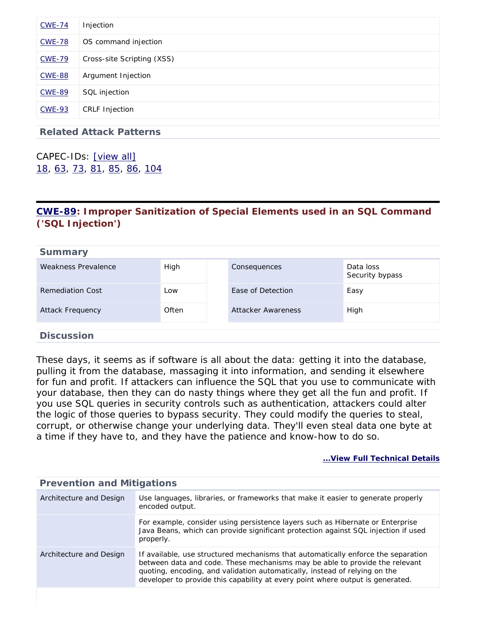| <b>CWE-74</b> | Injection                  |
|---------------|----------------------------|
| <b>CWE-78</b> | OS command injection       |
| <b>CWE-79</b> | Cross-site Scripting (XSS) |
| <b>CWE-88</b> | Argument Injection         |
| <b>CWE-89</b> | SQL injection              |
| <b>CWE-93</b> | <b>CRLF Injection</b>      |
|               |                            |

**Related Attack Patterns**

CAPEC-IDs: [\[view all\]](http://cwe.mitre.org/data/definitions/116.html#Related_Attack_Patterns) [18,](http://capec.mitre.org/data/definitions/18.html) [63,](http://capec.mitre.org/data/definitions/63.html) [73,](http://capec.mitre.org/data/definitions/73.html) [81](http://capec.mitre.org/data/definitions/81.html), [85](http://capec.mitre.org/data/definitions/85.html), [86](http://capec.mitre.org/data/definitions/86.html), [104](http://capec.mitre.org/data/definitions/104.html)

### <span id="page-7-0"></span>**[CWE-89](http://cwe.mitre.org/data/definitions/89.html): Improper Sanitization of Special Elements used in an SQL Command ('SQL Injection')**

| <b>Summary</b>          |       |                    |                              |
|-------------------------|-------|--------------------|------------------------------|
| Weakness Prevalence     | High  | Consequences       | Data loss<br>Security bypass |
| Remediation Cost        | Low   | Ease of Detection  | Easy                         |
| <b>Attack Frequency</b> | Often | Attacker Awareness | High                         |
|                         |       |                    |                              |
| <b>Discussion</b>       |       |                    |                              |

These days, it seems as if software is all about the data: getting it into the database, pulling it from the database, massaging it into information, and sending it elsewhere for fun and profit. If attackers can influence the SQL that you use to communicate with your database, then they can do nasty things where they get all the fun and profit. If you use SQL queries in security controls such as authentication, attackers could alter the logic of those queries to bypass security. They could modify the queries to steal, corrupt, or otherwise change your underlying data. They'll even steal data one byte at a time if they have to, and they have the patience and know-how to do so.

#### **[...View Full Technical Details](http://cwe.mitre.org/data/definitions/89.html)**

| Prevention and Mitigations |                                                                                                                                                                                                                                                                                                                                  |  |
|----------------------------|----------------------------------------------------------------------------------------------------------------------------------------------------------------------------------------------------------------------------------------------------------------------------------------------------------------------------------|--|
| Architecture and Design    | Use languages, libraries, or frameworks that make it easier to generate properly<br>encoded output.                                                                                                                                                                                                                              |  |
|                            | For example, consider using persistence layers such as Hibernate or Enterprise<br>Java Beans, which can provide significant protection against SQL injection if used<br>properly.                                                                                                                                                |  |
| Architecture and Design    | If available, use structured mechanisms that automatically enforce the separation<br>between data and code. These mechanisms may be able to provide the relevant<br>quoting, encoding, and validation automatically, instead of relying on the<br>developer to provide this capability at every point where output is generated. |  |
|                            |                                                                                                                                                                                                                                                                                                                                  |  |

### **Prevention and Mitigations**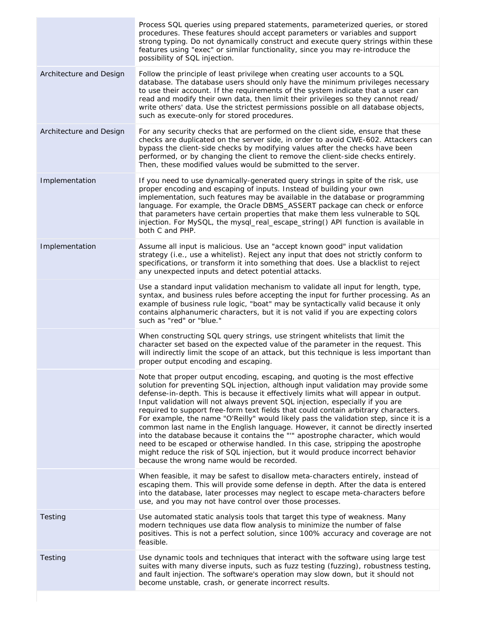| Process SQL queries using prepared statements, parameterized queries, or stored<br>procedures. These features should accept parameters or variables and support<br>strong typing. Do not dynamically construct and execute query strings within these<br>features using "exec" or similar functionality, since you may re-introduce the<br>possibility of SQL injection.                                                                                                                                                                                                                                                                                                                                                                                                                                                                                                                                            |
|---------------------------------------------------------------------------------------------------------------------------------------------------------------------------------------------------------------------------------------------------------------------------------------------------------------------------------------------------------------------------------------------------------------------------------------------------------------------------------------------------------------------------------------------------------------------------------------------------------------------------------------------------------------------------------------------------------------------------------------------------------------------------------------------------------------------------------------------------------------------------------------------------------------------|
| Follow the principle of least privilege when creating user accounts to a SQL<br>database. The database users should only have the minimum privileges necessary<br>to use their account. If the requirements of the system indicate that a user can<br>read and modify their own data, then limit their privileges so they cannot read/<br>write others' data. Use the strictest permissions possible on all database objects,<br>such as execute-only for stored procedures.                                                                                                                                                                                                                                                                                                                                                                                                                                        |
| For any security checks that are performed on the client side, ensure that these<br>checks are duplicated on the server side, in order to avoid CWE-602. Attackers can<br>bypass the client-side checks by modifying values after the checks have been<br>performed, or by changing the client to remove the client-side checks entirely.<br>Then, these modified values would be submitted to the server.                                                                                                                                                                                                                                                                                                                                                                                                                                                                                                          |
| If you need to use dynamically-generated query strings in spite of the risk, use<br>proper encoding and escaping of inputs. Instead of building your own<br>implementation, such features may be available in the database or programming<br>language. For example, the Oracle DBMS_ASSERT package can check or enforce<br>that parameters have certain properties that make them less vulnerable to SQL<br>injection. For MySQL, the mysql_real_escape_string() API function is available in<br>both C and PHP.                                                                                                                                                                                                                                                                                                                                                                                                    |
| Assume all input is malicious. Use an "accept known good" input validation<br>strategy (i.e., use a whitelist). Reject any input that does not strictly conform to<br>specifications, or transform it into something that does. Use a blacklist to reject<br>any unexpected inputs and detect potential attacks.                                                                                                                                                                                                                                                                                                                                                                                                                                                                                                                                                                                                    |
| Use a standard input validation mechanism to validate all input for length, type,<br>syntax, and business rules before accepting the input for further processing. As an<br>example of business rule logic, "boat" may be syntactically valid because it only<br>contains alphanumeric characters, but it is not valid if you are expecting colors<br>such as "red" or "blue."                                                                                                                                                                                                                                                                                                                                                                                                                                                                                                                                      |
| When constructing SQL query strings, use stringent whitelists that limit the<br>character set based on the expected value of the parameter in the request. This<br>will indirectly limit the scope of an attack, but this technique is less important than<br>proper output encoding and escaping.                                                                                                                                                                                                                                                                                                                                                                                                                                                                                                                                                                                                                  |
| Note that proper output encoding, escaping, and quoting is the most effective<br>solution for preventing SQL injection, although input validation may provide some<br>defense-in-depth. This is because it effectively limits what will appear in output.<br>Input validation will not always prevent SQL injection, especially if you are<br>required to support free-form text fields that could contain arbitrary characters.<br>For example, the name "O'Reilly" would likely pass the validation step, since it is a<br>common last name in the English language. However, it cannot be directly inserted<br>into the database because it contains the "" apostrophe character, which would<br>need to be escaped or otherwise handled. In this case, stripping the apostrophe<br>might reduce the risk of SQL injection, but it would produce incorrect behavior<br>because the wrong name would be recorded. |
| When feasible, it may be safest to disallow meta-characters entirely, instead of<br>escaping them. This will provide some defense in depth. After the data is entered<br>into the database, later processes may neglect to escape meta-characters before<br>use, and you may not have control over those processes.                                                                                                                                                                                                                                                                                                                                                                                                                                                                                                                                                                                                 |
| Use automated static analysis tools that target this type of weakness. Many<br>modern techniques use data flow analysis to minimize the number of false<br>positives. This is not a perfect solution, since 100% accuracy and coverage are not<br>feasible.                                                                                                                                                                                                                                                                                                                                                                                                                                                                                                                                                                                                                                                         |
| Use dynamic tools and techniques that interact with the software using large test<br>suites with many diverse inputs, such as fuzz testing (fuzzing), robustness testing,<br>and fault injection. The software's operation may slow down, but it should not<br>become unstable, crash, or generate incorrect results.                                                                                                                                                                                                                                                                                                                                                                                                                                                                                                                                                                                               |
|                                                                                                                                                                                                                                                                                                                                                                                                                                                                                                                                                                                                                                                                                                                                                                                                                                                                                                                     |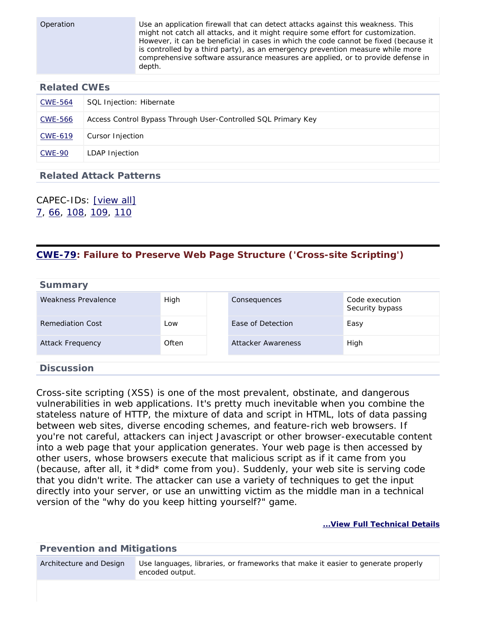Operation Use an application firewall that can detect attacks against this weakness. This might not catch all attacks, and it might require some effort for customization. However, it can be beneficial in cases in which the code cannot be fixed (because it is controlled by a third party), as an emergency prevention measure while more comprehensive software assurance measures are applied, or to provide defense in

### **Related CWEs**

| CWE-564        | SQL Injection: Hibernate                                      |
|----------------|---------------------------------------------------------------|
| <b>CWE-566</b> | Access Control Bypass Through User-Controlled SQL Primary Key |
| CWE-619        | Cursor Injection                                              |
| <b>CWE-90</b>  | LDAP Injection                                                |

### **Related Attack Patterns**

depth.

CAPEC-IDs: [\[view all\]](http://cwe.mitre.org/data/definitions/89.html#Related_Attack_Patterns) [7](http://capec.mitre.org/data/definitions/7.html), [66](http://capec.mitre.org/data/definitions/66.html), [108,](http://capec.mitre.org/data/definitions/108.html) [109,](http://capec.mitre.org/data/definitions/109.html) [110](http://capec.mitre.org/data/definitions/110.html)

### <span id="page-9-0"></span>**[CWE-79](http://cwe.mitre.org/data/definitions/79.html): Failure to Preserve Web Page Structure ('Cross-site Scripting')**

| <b>Summary</b>          |       |                    |                                   |
|-------------------------|-------|--------------------|-----------------------------------|
| Weakness Prevalence     | High  | Consequences       | Code execution<br>Security bypass |
| Remediation Cost        | Low   | Ease of Detection  | Easy                              |
| <b>Attack Frequency</b> | Often | Attacker Awareness | High                              |
| <b>Discussion</b>       |       |                    |                                   |

Cross-site scripting (XSS) is one of the most prevalent, obstinate, and dangerous vulnerabilities in web applications. It's pretty much inevitable when you combine the stateless nature of HTTP, the mixture of data and script in HTML, lots of data passing between web sites, diverse encoding schemes, and feature-rich web browsers. If you're not careful, attackers can inject Javascript or other browser-executable content into a web page that your application generates. Your web page is then accessed by other users, whose browsers execute that malicious script as if it came from you (because, after all, it \*did\* come from you). Suddenly, your web site is serving code that you didn't write. The attacker can use a variety of techniques to get the input directly into your server, or use an unwitting victim as the middle man in a technical version of the "why do you keep hitting yourself?" game.

**[...View Full Technical Details](http://cwe.mitre.org/data/definitions/79.html)**

**Prevention and Mitigations** Architecture and Design Use languages, libraries, or frameworks that make it easier to generate properly encoded output.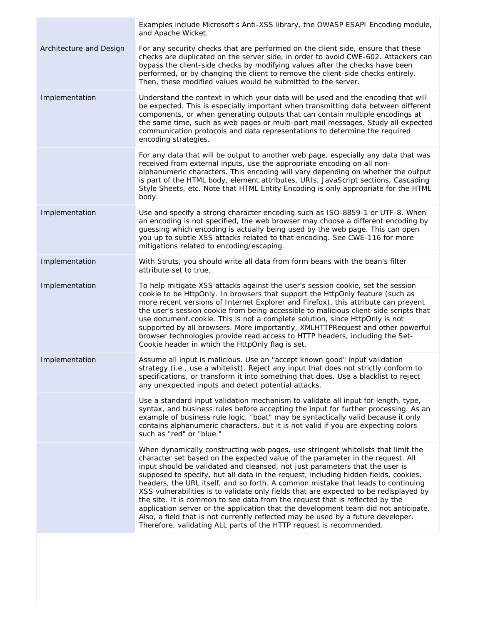|                         | Examples include Microsoft's Anti-XSS library, the OWASP ESAPI Encoding module,<br>and Apache Wicket.                                                                                                                                                                                                                                                                                                                                                                                                                                                                                                                                                                                                                                                                                                                                                    |
|-------------------------|----------------------------------------------------------------------------------------------------------------------------------------------------------------------------------------------------------------------------------------------------------------------------------------------------------------------------------------------------------------------------------------------------------------------------------------------------------------------------------------------------------------------------------------------------------------------------------------------------------------------------------------------------------------------------------------------------------------------------------------------------------------------------------------------------------------------------------------------------------|
| Architecture and Design | For any security checks that are performed on the client side, ensure that these<br>checks are duplicated on the server side, in order to avoid CWE-602. Attackers can<br>bypass the client-side checks by modifying values after the checks have been<br>performed, or by changing the client to remove the client-side checks entirely.<br>Then, these modified values would be submitted to the server.                                                                                                                                                                                                                                                                                                                                                                                                                                               |
| Implementation          | Understand the context in which your data will be used and the encoding that will<br>be expected. This is especially important when transmitting data between different<br>components, or when generating outputs that can contain multiple encodings at<br>the same time, such as web pages or multi-part mail messages. Study all expected<br>communication protocols and data representations to determine the required<br>encoding strategies.                                                                                                                                                                                                                                                                                                                                                                                                       |
|                         | For any data that will be output to another web page, especially any data that was<br>received from external inputs, use the appropriate encoding on all non-<br>alphanumeric characters. This encoding will vary depending on whether the output<br>is part of the HTML body, element attributes, URIs, JavaScript sections, Cascading<br>Style Sheets, etc. Note that HTML Entity Encoding is only appropriate for the HTML<br>body.                                                                                                                                                                                                                                                                                                                                                                                                                   |
| Implementation          | Use and specify a strong character encoding such as ISO-8859-1 or UTF-8. When<br>an encoding is not specified, the web browser may choose a different encoding by<br>guessing which encoding is actually being used by the web page. This can open<br>you up to subtle XSS attacks related to that encoding. See CWE-116 for more<br>mitigations related to encoding/escaping.                                                                                                                                                                                                                                                                                                                                                                                                                                                                           |
| Implementation          | With Struts, you should write all data from form beans with the bean's filter<br>attribute set to true.                                                                                                                                                                                                                                                                                                                                                                                                                                                                                                                                                                                                                                                                                                                                                  |
| Implementation          | To help mitigate XSS attacks against the user's session cookie, set the session<br>cookie to be HttpOnly. In browsers that support the HttpOnly feature (such as<br>more recent versions of Internet Explorer and Firefox), this attribute can prevent<br>the user's session cookie from being accessible to malicious client-side scripts that<br>use document.cookie. This is not a complete solution, since HttpOnly is not<br>supported by all browsers. More importantly, XMLHTTPRequest and other powerful<br>browser technologies provide read access to HTTP headers, including the Set-<br>Cookie header in which the HttpOnly flag is set.                                                                                                                                                                                                     |
| Implementation          | Assume all input is malicious. Use an "accept known good" input validation<br>strategy (i.e., use a whitelist). Reject any input that does not strictly conform to<br>specifications, or transform it into something that does. Use a blacklist to reject<br>any unexpected inputs and detect potential attacks.                                                                                                                                                                                                                                                                                                                                                                                                                                                                                                                                         |
|                         | Use a standard input validation mechanism to validate all input for length, type,<br>syntax, and business rules before accepting the input for further processing. As an<br>example of business rule logic, "boat" may be syntactically valid because it only<br>contains alphanumeric characters, but it is not valid if you are expecting colors<br>such as "red" or "blue."                                                                                                                                                                                                                                                                                                                                                                                                                                                                           |
|                         | When dynamically constructing web pages, use stringent whitelists that limit the<br>character set based on the expected value of the parameter in the request. All<br>input should be validated and cleansed, not just parameters that the user is<br>supposed to specify, but all data in the request, including hidden fields, cookies,<br>headers, the URL itself, and so forth. A common mistake that leads to continuing<br>XSS vulnerabilities is to validate only fields that are expected to be redisplayed by<br>the site. It is common to see data from the request that is reflected by the<br>application server or the application that the development team did not anticipate.<br>Also, a field that is not currently reflected may be used by a future developer.<br>Therefore, validating ALL parts of the HTTP request is recommended. |
|                         |                                                                                                                                                                                                                                                                                                                                                                                                                                                                                                                                                                                                                                                                                                                                                                                                                                                          |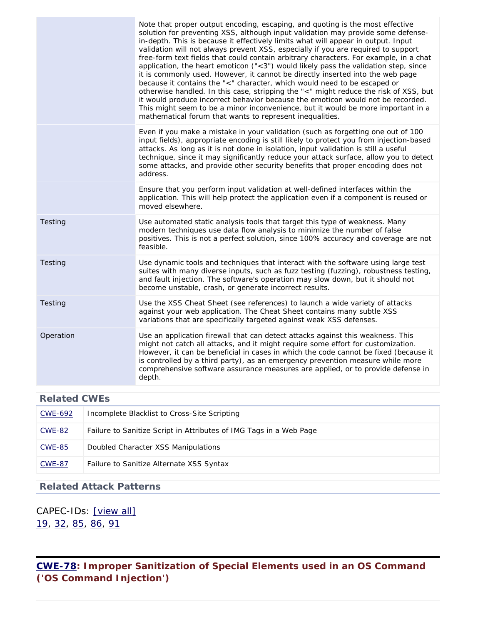|           | Note that proper output encoding, escaping, and quoting is the most effective<br>solution for preventing XSS, although input validation may provide some defense-<br>in-depth. This is because it effectively limits what will appear in output. Input<br>validation will not always prevent XSS, especially if you are required to support<br>free-form text fields that could contain arbitrary characters. For example, in a chat<br>application, the heart emoticon $(*3")$ would likely pass the validation step, since<br>it is commonly used. However, it cannot be directly inserted into the web page<br>because it contains the "<" character, which would need to be escaped or<br>otherwise handled. In this case, stripping the "<" might reduce the risk of XSS, but<br>it would produce incorrect behavior because the emoticon would not be recorded.<br>This might seem to be a minor inconvenience, but it would be more important in a<br>mathematical forum that wants to represent inequalities. |
|-----------|-----------------------------------------------------------------------------------------------------------------------------------------------------------------------------------------------------------------------------------------------------------------------------------------------------------------------------------------------------------------------------------------------------------------------------------------------------------------------------------------------------------------------------------------------------------------------------------------------------------------------------------------------------------------------------------------------------------------------------------------------------------------------------------------------------------------------------------------------------------------------------------------------------------------------------------------------------------------------------------------------------------------------|
|           | Even if you make a mistake in your validation (such as forgetting one out of 100<br>input fields), appropriate encoding is still likely to protect you from injection-based<br>attacks. As long as it is not done in isolation, input validation is still a useful<br>technique, since it may significantly reduce your attack surface, allow you to detect<br>some attacks, and provide other security benefits that proper encoding does not<br>address.                                                                                                                                                                                                                                                                                                                                                                                                                                                                                                                                                            |
|           | Ensure that you perform input validation at well-defined interfaces within the<br>application. This will help protect the application even if a component is reused or<br>moved elsewhere.                                                                                                                                                                                                                                                                                                                                                                                                                                                                                                                                                                                                                                                                                                                                                                                                                            |
| Testing   | Use automated static analysis tools that target this type of weakness. Many<br>modern techniques use data flow analysis to minimize the number of false<br>positives. This is not a perfect solution, since 100% accuracy and coverage are not<br>feasible.                                                                                                                                                                                                                                                                                                                                                                                                                                                                                                                                                                                                                                                                                                                                                           |
| Testing   | Use dynamic tools and techniques that interact with the software using large test<br>suites with many diverse inputs, such as fuzz testing (fuzzing), robustness testing,<br>and fault injection. The software's operation may slow down, but it should not<br>become unstable, crash, or generate incorrect results.                                                                                                                                                                                                                                                                                                                                                                                                                                                                                                                                                                                                                                                                                                 |
| Testing   | Use the XSS Cheat Sheet (see references) to launch a wide variety of attacks<br>against your web application. The Cheat Sheet contains many subtle XSS<br>variations that are specifically targeted against weak XSS defenses.                                                                                                                                                                                                                                                                                                                                                                                                                                                                                                                                                                                                                                                                                                                                                                                        |
| Operation | Use an application firewall that can detect attacks against this weakness. This<br>might not catch all attacks, and it might require some effort for customization.<br>However, it can be beneficial in cases in which the code cannot be fixed (because it<br>is controlled by a third party), as an emergency prevention measure while more<br>comprehensive software assurance measures are applied, or to provide defense in<br>depth.                                                                                                                                                                                                                                                                                                                                                                                                                                                                                                                                                                            |

| CWE-692       | Incomplete Blacklist to Cross-Site Scripting                       |
|---------------|--------------------------------------------------------------------|
| CWE-82        | Failure to Sanitize Script in Attributes of IMG Tags in a Web Page |
| CWE-85        | Doubled Character XSS Manipulations                                |
| <b>CWE-87</b> | Failure to Sanitize Alternate XSS Syntax                           |

### **Related Attack Patterns**

CAPEC-IDs: [\[view all\]](http://cwe.mitre.org/data/definitions/79.html#Related_Attack_Patterns) [19,](http://capec.mitre.org/data/definitions/19.html) [32,](http://capec.mitre.org/data/definitions/32.html) [85,](http://capec.mitre.org/data/definitions/85.html) [86](http://capec.mitre.org/data/definitions/86.html), [91](http://capec.mitre.org/data/definitions/91.html)

<span id="page-11-0"></span>**[CWE-78](http://cwe.mitre.org/data/definitions/78.html): Improper Sanitization of Special Elements used in an OS Command ('OS Command Injection')**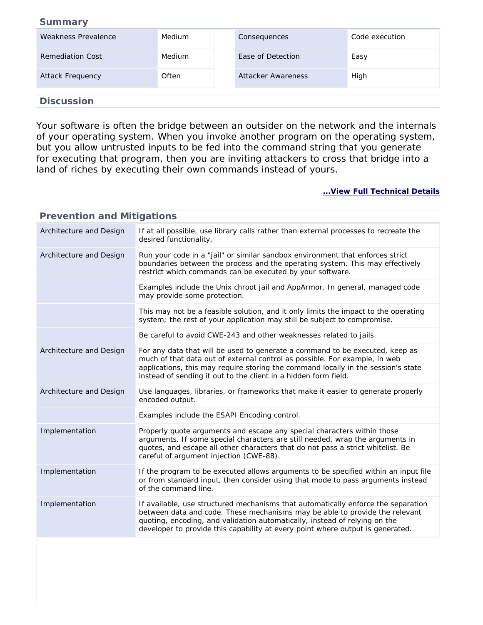#### **Summary**

| Weakness Prevalence     | Medium | Consequences       | Code execution |
|-------------------------|--------|--------------------|----------------|
| <b>Remediation Cost</b> | Medium | Ease of Detection  | Easy           |
| <b>Attack Frequency</b> | Often  | Attacker Awareness | High           |
|                         |        |                    |                |

#### **Discussion**

Your software is often the bridge between an outsider on the network and the internals of your operating system. When you invoke another program on the operating system, but you allow untrusted inputs to be fed into the command string that you generate for executing that program, then you are inviting attackers to cross that bridge into a land of riches by executing their own commands instead of yours.

| <b>Prevention and Mitigations</b> |                                                                                                                                                                                                                                                                                                                                  |
|-----------------------------------|----------------------------------------------------------------------------------------------------------------------------------------------------------------------------------------------------------------------------------------------------------------------------------------------------------------------------------|
| Architecture and Design           | If at all possible, use library calls rather than external processes to recreate the<br>desired functionality.                                                                                                                                                                                                                   |
| Architecture and Design           | Run your code in a "jail" or similar sandbox environment that enforces strict<br>boundaries between the process and the operating system. This may effectively<br>restrict which commands can be executed by your software.                                                                                                      |
|                                   | Examples include the Unix chroot jail and AppArmor. In general, managed code<br>may provide some protection.                                                                                                                                                                                                                     |
|                                   | This may not be a feasible solution, and it only limits the impact to the operating<br>system; the rest of your application may still be subject to compromise.                                                                                                                                                                  |
|                                   | Be careful to avoid CWE-243 and other weaknesses related to jails.                                                                                                                                                                                                                                                               |
| Architecture and Design           | For any data that will be used to generate a command to be executed, keep as<br>much of that data out of external control as possible. For example, in web<br>applications, this may require storing the command locally in the session's state<br>instead of sending it out to the client in a hidden form field.               |
| Architecture and Design           | Use languages, libraries, or frameworks that make it easier to generate properly<br>encoded output.                                                                                                                                                                                                                              |
|                                   | Examples include the ESAPI Encoding control.                                                                                                                                                                                                                                                                                     |
| Implementation                    | Properly quote arguments and escape any special characters within those<br>arguments. If some special characters are still needed, wrap the arguments in<br>quotes, and escape all other characters that do not pass a strict whitelist. Be<br>careful of argument injection (CWE-88).                                           |
| Implementation                    | If the program to be executed allows arguments to be specified within an input file<br>or from standard input, then consider using that mode to pass arguments instead<br>of the command line.                                                                                                                                   |
| Implementation                    | If available, use structured mechanisms that automatically enforce the separation<br>between data and code. These mechanisms may be able to provide the relevant<br>quoting, encoding, and validation automatically, instead of relying on the<br>developer to provide this capability at every point where output is generated. |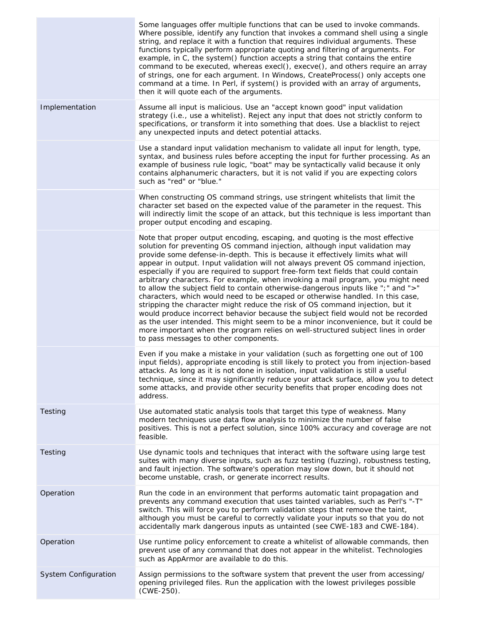|                      | Some languages offer multiple functions that can be used to invoke commands.<br>Where possible, identify any function that invokes a command shell using a single<br>string, and replace it with a function that requires individual arguments. These<br>functions typically perform appropriate quoting and filtering of arguments. For<br>example, in C, the system() function accepts a string that contains the entire<br>command to be executed, whereas execl(), execve(), and others require an array<br>of strings, one for each argument. In Windows, CreateProcess() only accepts one<br>command at a time. In Perl, if system() is provided with an array of arguments,<br>then it will quote each of the arguments.                                                                                                                                                                                                                                                                                                                                            |
|----------------------|----------------------------------------------------------------------------------------------------------------------------------------------------------------------------------------------------------------------------------------------------------------------------------------------------------------------------------------------------------------------------------------------------------------------------------------------------------------------------------------------------------------------------------------------------------------------------------------------------------------------------------------------------------------------------------------------------------------------------------------------------------------------------------------------------------------------------------------------------------------------------------------------------------------------------------------------------------------------------------------------------------------------------------------------------------------------------|
| Implementation       | Assume all input is malicious. Use an "accept known good" input validation<br>strategy (i.e., use a whitelist). Reject any input that does not strictly conform to<br>specifications, or transform it into something that does. Use a blacklist to reject<br>any unexpected inputs and detect potential attacks.                                                                                                                                                                                                                                                                                                                                                                                                                                                                                                                                                                                                                                                                                                                                                           |
|                      | Use a standard input validation mechanism to validate all input for length, type,<br>syntax, and business rules before accepting the input for further processing. As an<br>example of business rule logic, "boat" may be syntactically valid because it only<br>contains alphanumeric characters, but it is not valid if you are expecting colors<br>such as "red" or "blue."                                                                                                                                                                                                                                                                                                                                                                                                                                                                                                                                                                                                                                                                                             |
|                      | When constructing OS command strings, use stringent whitelists that limit the<br>character set based on the expected value of the parameter in the request. This<br>will indirectly limit the scope of an attack, but this technique is less important than<br>proper output encoding and escaping.                                                                                                                                                                                                                                                                                                                                                                                                                                                                                                                                                                                                                                                                                                                                                                        |
|                      | Note that proper output encoding, escaping, and quoting is the most effective<br>solution for preventing OS command injection, although input validation may<br>provide some defense-in-depth. This is because it effectively limits what will<br>appear in output. Input validation will not always prevent OS command injection,<br>especially if you are required to support free-form text fields that could contain<br>arbitrary characters. For example, when invoking a mail program, you might need<br>to allow the subject field to contain otherwise-dangerous inputs like ";" and ">"<br>characters, which would need to be escaped or otherwise handled. In this case,<br>stripping the character might reduce the risk of OS command injection, but it<br>would produce incorrect behavior because the subject field would not be recorded<br>as the user intended. This might seem to be a minor inconvenience, but it could be<br>more important when the program relies on well-structured subject lines in order<br>to pass messages to other components. |
|                      | Even if you make a mistake in your validation (such as forgetting one out of 100<br>input fields), appropriate encoding is still likely to protect you from injection-based<br>attacks. As long as it is not done in isolation, input validation is still a useful<br>technique, since it may significantly reduce your attack surface, allow you to detect<br>some attacks, and provide other security benefits that proper encoding does not<br>address.                                                                                                                                                                                                                                                                                                                                                                                                                                                                                                                                                                                                                 |
| Testing              | Use automated static analysis tools that target this type of weakness. Many<br>modern techniques use data flow analysis to minimize the number of false<br>positives. This is not a perfect solution, since 100% accuracy and coverage are not<br>feasible.                                                                                                                                                                                                                                                                                                                                                                                                                                                                                                                                                                                                                                                                                                                                                                                                                |
| Testing              | Use dynamic tools and techniques that interact with the software using large test<br>suites with many diverse inputs, such as fuzz testing (fuzzing), robustness testing,<br>and fault injection. The software's operation may slow down, but it should not<br>become unstable, crash, or generate incorrect results.                                                                                                                                                                                                                                                                                                                                                                                                                                                                                                                                                                                                                                                                                                                                                      |
| Operation            | Run the code in an environment that performs automatic taint propagation and<br>prevents any command execution that uses tainted variables, such as Perl's "-T"<br>switch. This will force you to perform validation steps that remove the taint,<br>although you must be careful to correctly validate your inputs so that you do not<br>accidentally mark dangerous inputs as untainted (see CWE-183 and CWE-184).                                                                                                                                                                                                                                                                                                                                                                                                                                                                                                                                                                                                                                                       |
| Operation            | Use runtime policy enforcement to create a whitelist of allowable commands, then<br>prevent use of any command that does not appear in the whitelist. Technologies<br>such as AppArmor are available to do this.                                                                                                                                                                                                                                                                                                                                                                                                                                                                                                                                                                                                                                                                                                                                                                                                                                                           |
| System Configuration | Assign permissions to the software system that prevent the user from accessing/<br>opening privileged files. Run the application with the lowest privileges possible<br>(CWE-250).                                                                                                                                                                                                                                                                                                                                                                                                                                                                                                                                                                                                                                                                                                                                                                                                                                                                                         |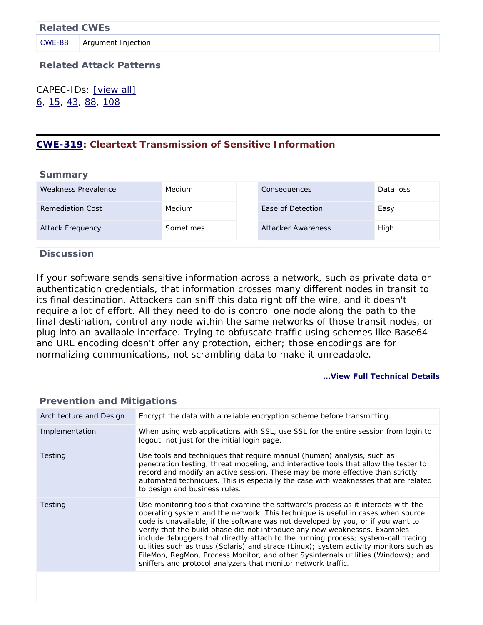**Related Attack Patterns**

CAPEC-IDs: [\[view all\]](http://cwe.mitre.org/data/definitions/78.html#Related_Attack_Patterns) [6](http://capec.mitre.org/data/definitions/6.html), [15](http://capec.mitre.org/data/definitions/15.html), [43](http://capec.mitre.org/data/definitions/43.html), [88](http://capec.mitre.org/data/definitions/88.html), [108](http://capec.mitre.org/data/definitions/108.html)

### <span id="page-14-0"></span>**[CWE-319](http://cwe.mitre.org/data/definitions/319.html): Cleartext Transmission of Sensitive Information**

| <b>Summary</b>          |                  |                    |           |
|-------------------------|------------------|--------------------|-----------|
| Weakness Prevalence     | Medium           | Consequences       | Data loss |
| Remediation Cost        | Medium           | Ease of Detection  | Easy      |
| <b>Attack Frequency</b> | <b>Sometimes</b> | Attacker Awareness | High      |
| <b>Discussion</b>       |                  |                    |           |

If your software sends sensitive information across a network, such as private data or authentication credentials, that information crosses many different nodes in transit to its final destination. Attackers can sniff this data right off the wire, and it doesn't require a lot of effort. All they need to do is control one node along the path to the final destination, control any node within the same networks of those transit nodes, or plug into an available interface. Trying to obfuscate traffic using schemes like Base64 and URL encoding doesn't offer any protection, either; those encodings are for normalizing communications, not scrambling data to make it unreadable.

| <b>Prevention and Mitigations</b> |                                                                                                                                                                                                                                                                                                                                                                                                                                                                                                                                                                                                                                                                              |
|-----------------------------------|------------------------------------------------------------------------------------------------------------------------------------------------------------------------------------------------------------------------------------------------------------------------------------------------------------------------------------------------------------------------------------------------------------------------------------------------------------------------------------------------------------------------------------------------------------------------------------------------------------------------------------------------------------------------------|
| Architecture and Design           | Encrypt the data with a reliable encryption scheme before transmitting.                                                                                                                                                                                                                                                                                                                                                                                                                                                                                                                                                                                                      |
| Implementation                    | When using web applications with SSL, use SSL for the entire session from login to<br>logout, not just for the initial login page.                                                                                                                                                                                                                                                                                                                                                                                                                                                                                                                                           |
| Testing                           | Use tools and techniques that require manual (human) analysis, such as<br>penetration testing, threat modeling, and interactive tools that allow the tester to<br>record and modify an active session. These may be more effective than strictly<br>automated techniques. This is especially the case with weaknesses that are related<br>to design and business rules.                                                                                                                                                                                                                                                                                                      |
| Testing                           | Use monitoring tools that examine the software's process as it interacts with the<br>operating system and the network. This technique is useful in cases when source<br>code is unavailable, if the software was not developed by you, or if you want to<br>verify that the build phase did not introduce any new weaknesses. Examples<br>include debuggers that directly attach to the running process; system-call tracing<br>utilities such as truss (Solaris) and strace (Linux); system activity monitors such as<br>FileMon, RegMon, Process Monitor, and other Sysinternals utilities (Windows); and<br>sniffers and protocol analyzers that monitor network traffic. |
|                                   |                                                                                                                                                                                                                                                                                                                                                                                                                                                                                                                                                                                                                                                                              |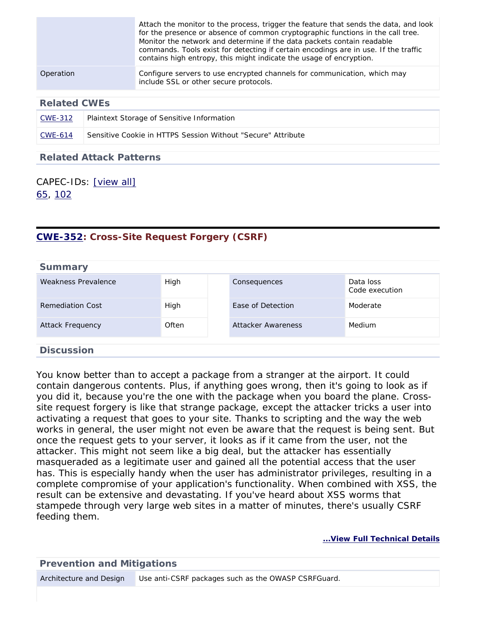|           | Attach the monitor to the process, trigger the feature that sends the data, and look<br>for the presence or absence of common cryptographic functions in the call tree.<br>Monitor the network and determine if the data packets contain readable<br>commands. Tools exist for detecting if certain encodings are in use. If the traffic<br>contains high entropy, this might indicate the usage of encryption. |
|-----------|-----------------------------------------------------------------------------------------------------------------------------------------------------------------------------------------------------------------------------------------------------------------------------------------------------------------------------------------------------------------------------------------------------------------|
| Operation | Configure servers to use encrypted channels for communication, which may<br>include SSL or other secure protocols.                                                                                                                                                                                                                                                                                              |

| $\text{CWE-}312$ | Plaintext Storage of Sensitive Information                   |
|------------------|--------------------------------------------------------------|
| $CWE-614$        | Sensitive Cookie in HTTPS Session Without "Secure" Attribute |

#### **Related Attack Patterns**

### CAPEC-IDs: [\[view all\]](http://cwe.mitre.org/data/definitions/319.html#Related_Attack_Patterns) [65,](http://capec.mitre.org/data/definitions/65.html) [102](http://capec.mitre.org/data/definitions/102.html)

## <span id="page-15-0"></span>**[CWE-352](http://cwe.mitre.org/data/definitions/352.html): Cross-Site Request Forgery (CSRF)**

| <b>Summary</b>          |       |                    |                             |
|-------------------------|-------|--------------------|-----------------------------|
| Weakness Prevalence     | High  | Consequences       | Data loss<br>Code execution |
| Remediation Cost        | High  | Ease of Detection  | Moderate                    |
| <b>Attack Frequency</b> | Often | Attacker Awareness | <b>Medium</b>               |
| <b>Discussion</b>       |       |                    |                             |

You know better than to accept a package from a stranger at the airport. It could contain dangerous contents. Plus, if anything goes wrong, then it's going to look as if you did it, because you're the one with the package when you board the plane. Crosssite request forgery is like that strange package, except the attacker tricks a user into activating a request that goes to your site. Thanks to scripting and the way the web works in general, the user might not even be aware that the request is being sent. But once the request gets to your server, it looks as if it came from the user, not the attacker. This might not seem like a big deal, but the attacker has essentially masqueraded as a legitimate user and gained all the potential access that the user has. This is especially handy when the user has administrator privileges, resulting in a complete compromise of your application's functionality. When combined with XSS, the result can be extensive and devastating. If you've heard about XSS worms that stampede through very large web sites in a matter of minutes, there's usually CSRF feeding them.

#### **[...View Full Technical Details](http://cwe.mitre.org/data/definitions/352.html)**

#### **Prevention and Mitigations**

Architecture and Design Use anti-CSRF packages such as the OWASP CSRFGuard.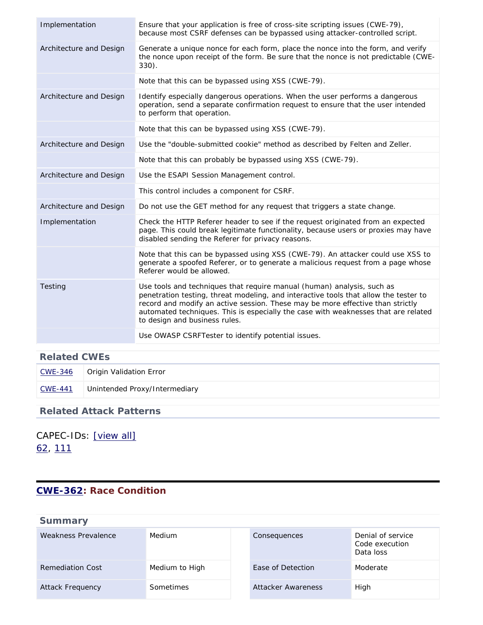| Generate a unique nonce for each form, place the nonce into the form, and verify<br>Architecture and Design<br>the nonce upon receipt of the form. Be sure that the nonce is not predictable (CWE-<br>$330$ ).<br>Note that this can be bypassed using XSS (CWE-79).<br>Identify especially dangerous operations. When the user performs a dangerous<br>Architecture and Design<br>operation, send a separate confirmation request to ensure that the user intended<br>to perform that operation.<br>Note that this can be bypassed using XSS (CWE-79).<br>Architecture and Design<br>Use the "double-submitted cookie" method as described by Felten and Zeller.<br>Note that this can probably be bypassed using XSS (CWE-79).<br>Architecture and Design<br>Use the ESAPI Session Management control. | Implementation | Ensure that your application is free of cross-site scripting issues (CWE-79),<br>because most CSRF defenses can be bypassed using attacker-controlled script. |
|----------------------------------------------------------------------------------------------------------------------------------------------------------------------------------------------------------------------------------------------------------------------------------------------------------------------------------------------------------------------------------------------------------------------------------------------------------------------------------------------------------------------------------------------------------------------------------------------------------------------------------------------------------------------------------------------------------------------------------------------------------------------------------------------------------|----------------|---------------------------------------------------------------------------------------------------------------------------------------------------------------|
|                                                                                                                                                                                                                                                                                                                                                                                                                                                                                                                                                                                                                                                                                                                                                                                                          |                |                                                                                                                                                               |
|                                                                                                                                                                                                                                                                                                                                                                                                                                                                                                                                                                                                                                                                                                                                                                                                          |                |                                                                                                                                                               |
|                                                                                                                                                                                                                                                                                                                                                                                                                                                                                                                                                                                                                                                                                                                                                                                                          |                |                                                                                                                                                               |
|                                                                                                                                                                                                                                                                                                                                                                                                                                                                                                                                                                                                                                                                                                                                                                                                          |                |                                                                                                                                                               |
|                                                                                                                                                                                                                                                                                                                                                                                                                                                                                                                                                                                                                                                                                                                                                                                                          |                |                                                                                                                                                               |
|                                                                                                                                                                                                                                                                                                                                                                                                                                                                                                                                                                                                                                                                                                                                                                                                          |                |                                                                                                                                                               |
|                                                                                                                                                                                                                                                                                                                                                                                                                                                                                                                                                                                                                                                                                                                                                                                                          |                |                                                                                                                                                               |
|                                                                                                                                                                                                                                                                                                                                                                                                                                                                                                                                                                                                                                                                                                                                                                                                          |                | This control includes a component for CSRF.                                                                                                                   |
| Architecture and Design<br>Do not use the GET method for any request that triggers a state change.                                                                                                                                                                                                                                                                                                                                                                                                                                                                                                                                                                                                                                                                                                       |                |                                                                                                                                                               |
| Check the HTTP Referer header to see if the request originated from an expected<br>Implementation<br>page. This could break legitimate functionality, because users or proxies may have<br>disabled sending the Referer for privacy reasons.                                                                                                                                                                                                                                                                                                                                                                                                                                                                                                                                                             |                |                                                                                                                                                               |
| Note that this can be bypassed using XSS (CWE-79). An attacker could use XSS to<br>generate a spoofed Referer, or to generate a malicious request from a page whose<br>Referer would be allowed.                                                                                                                                                                                                                                                                                                                                                                                                                                                                                                                                                                                                         |                |                                                                                                                                                               |
| Use tools and techniques that require manual (human) analysis, such as<br>Testing<br>penetration testing, threat modeling, and interactive tools that allow the tester to<br>record and modify an active session. These may be more effective than strictly<br>automated techniques. This is especially the case with weaknesses that are related<br>to design and business rules.                                                                                                                                                                                                                                                                                                                                                                                                                       |                |                                                                                                                                                               |
| Use OWASP CSRFTester to identify potential issues.                                                                                                                                                                                                                                                                                                                                                                                                                                                                                                                                                                                                                                                                                                                                                       |                |                                                                                                                                                               |

| CWE-346 | Origin Validation Error       |
|---------|-------------------------------|
| CWE-441 | Unintended Proxy/Intermediary |

### **Related Attack Patterns**

# CAPEC-IDs: [\[view all\]](http://cwe.mitre.org/data/definitions/352.html#Related_Attack_Patterns) [62,](http://capec.mitre.org/data/definitions/62.html) [111](http://capec.mitre.org/data/definitions/111.html)

### <span id="page-16-0"></span>**[CWE-362](http://cwe.mitre.org/data/definitions/362.html): Race Condition**

| <b>Summary</b>      |                  |                    |                                                  |
|---------------------|------------------|--------------------|--------------------------------------------------|
| Weakness Prevalence | <b>Medium</b>    | Consequences       | Denial of service<br>Code execution<br>Data loss |
| Remediation Cost    | Medium to High   | Ease of Detection  | Moderate                                         |
| Attack Frequency    | <b>Sometimes</b> | Attacker Awareness | High                                             |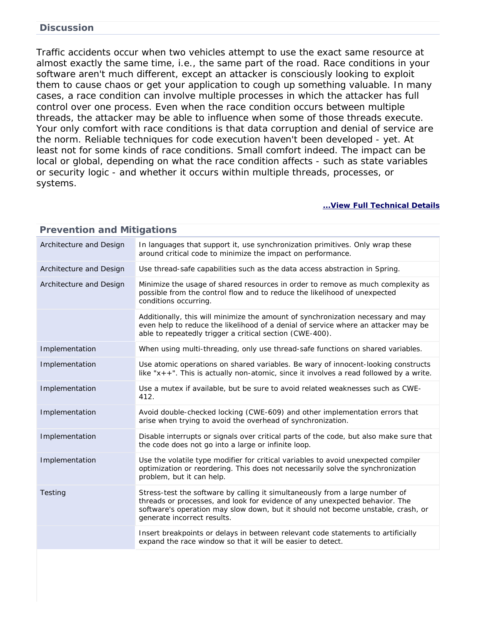#### **Discussion**

Traffic accidents occur when two vehicles attempt to use the exact same resource at almost exactly the same time, i.e., the same part of the road. Race conditions in your software aren't much different, except an attacker is consciously looking to exploit them to cause chaos or get your application to cough up something valuable. In many cases, a race condition can involve multiple processes in which the attacker has full control over one process. Even when the race condition occurs between multiple threads, the attacker may be able to influence when some of those threads execute. Your only comfort with race conditions is that data corruption and denial of service are the norm. Reliable techniques for code execution haven't been developed - yet. At least not for some kinds of race conditions. Small comfort indeed. The impact can be local or global, depending on what the race condition affects - such as state variables or security logic - and whether it occurs within multiple threads, processes, or systems.

| <b>Prevention and Mitigations</b> |                                                                                                                                                                                                                                                                                |  |
|-----------------------------------|--------------------------------------------------------------------------------------------------------------------------------------------------------------------------------------------------------------------------------------------------------------------------------|--|
| Architecture and Design           | In languages that support it, use synchronization primitives. Only wrap these<br>around critical code to minimize the impact on performance.                                                                                                                                   |  |
| Architecture and Design           | Use thread-safe capabilities such as the data access abstraction in Spring.                                                                                                                                                                                                    |  |
| Architecture and Design           | Minimize the usage of shared resources in order to remove as much complexity as<br>possible from the control flow and to reduce the likelihood of unexpected<br>conditions occurring.                                                                                          |  |
|                                   | Additionally, this will minimize the amount of synchronization necessary and may<br>even help to reduce the likelihood of a denial of service where an attacker may be<br>able to repeatedly trigger a critical section (CWE-400).                                             |  |
| Implementation                    | When using multi-threading, only use thread-safe functions on shared variables.                                                                                                                                                                                                |  |
| Implementation                    | Use atomic operations on shared variables. Be wary of innocent-looking constructs<br>like " $x++$ ". This is actually non-atomic, since it involves a read followed by a write.                                                                                                |  |
| Implementation                    | Use a mutex if available, but be sure to avoid related weaknesses such as CWE-<br>412.                                                                                                                                                                                         |  |
| Implementation                    | Avoid double-checked locking (CWE-609) and other implementation errors that<br>arise when trying to avoid the overhead of synchronization.                                                                                                                                     |  |
| Implementation                    | Disable interrupts or signals over critical parts of the code, but also make sure that<br>the code does not go into a large or infinite loop.                                                                                                                                  |  |
| Implementation                    | Use the volatile type modifier for critical variables to avoid unexpected compiler<br>optimization or reordering. This does not necessarily solve the synchronization<br>problem, but it can help.                                                                             |  |
| Testing                           | Stress-test the software by calling it simultaneously from a large number of<br>threads or processes, and look for evidence of any unexpected behavior. The<br>software's operation may slow down, but it should not become unstable, crash, or<br>generate incorrect results. |  |
|                                   | Insert breakpoints or delays in between relevant code statements to artificially<br>expand the race window so that it will be easier to detect.                                                                                                                                |  |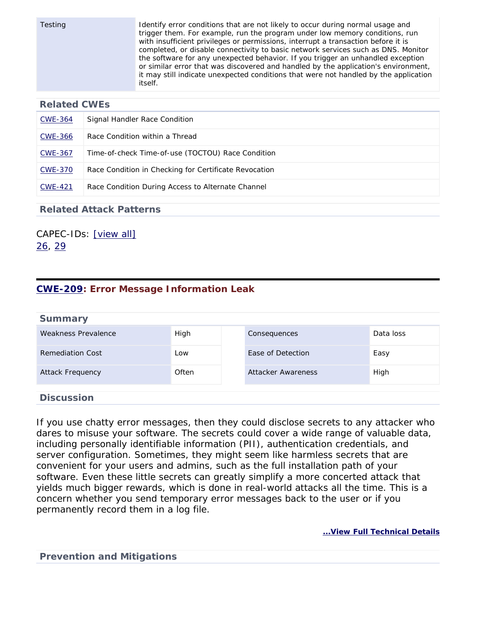Testing Identify error conditions that are not likely to occur during normal usage and trigger them. For example, run the program under low memory conditions, run with insufficient privileges or permissions, interrupt a transaction before it is completed, or disable connectivity to basic network services such as DNS. Monitor the software for any unexpected behavior. If you trigger an unhandled exception or similar error that was discovered and handled by the application's environment, it may still indicate unexpected conditions that were not handled by the application itself.

#### **Related CWEs**

| CWE-364        | Signal Handler Race Condition                         |
|----------------|-------------------------------------------------------|
| CWE-366        | Race Condition within a Thread                        |
| <b>CWE-367</b> | Time-of-check Time-of-use (TOCTOU) Race Condition     |
| <b>CWE-370</b> | Race Condition in Checking for Certificate Revocation |
| <b>CWE-421</b> | Race Condition During Access to Alternate Channel     |

#### **Related Attack Patterns**

CAPEC-IDs: [\[view all\]](http://cwe.mitre.org/data/definitions/362.html#Related_Attack_Patterns) [26,](http://capec.mitre.org/data/definitions/26.html) [29](http://capec.mitre.org/data/definitions/29.html)

### <span id="page-18-0"></span>**[CWE-209](http://cwe.mitre.org/data/definitions/209.html): Error Message Information Leak**

| <b>Summary</b>             |       |                    |           |
|----------------------------|-------|--------------------|-----------|
| <b>Weakness Prevalence</b> | High  | Consequences       | Data loss |
| <b>Remediation Cost</b>    | Low   | Ease of Detection  | Easy      |
| <b>Attack Frequency</b>    | Often | Attacker Awareness | High      |
| <b>Discussion</b>          |       |                    |           |

If you use chatty error messages, then they could disclose secrets to any attacker who dares to misuse your software. The secrets could cover a wide range of valuable data, including personally identifiable information (PII), authentication credentials, and server configuration. Sometimes, they might seem like harmless secrets that are convenient for your users and admins, such as the full installation path of your software. Even these little secrets can greatly simplify a more concerted attack that yields much bigger rewards, which is done in real-world attacks all the time. This is a concern whether you send temporary error messages back to the user or if you permanently record them in a log file.

**[...View Full Technical Details](http://cwe.mitre.org/data/definitions/209.html)**

**Prevention and Mitigations**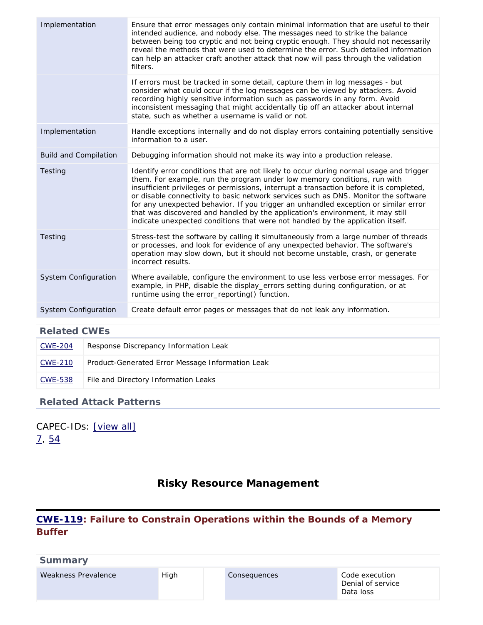| If errors must be tracked in some detail, capture them in log messages - but                                                                                                                                                                                                                                                                                                                                                                                                                                                                                                                                                |
|-----------------------------------------------------------------------------------------------------------------------------------------------------------------------------------------------------------------------------------------------------------------------------------------------------------------------------------------------------------------------------------------------------------------------------------------------------------------------------------------------------------------------------------------------------------------------------------------------------------------------------|
| consider what could occur if the log messages can be viewed by attackers. Avoid<br>recording highly sensitive information such as passwords in any form. Avoid<br>inconsistent messaging that might accidentally tip off an attacker about internal<br>state, such as whether a username is valid or not.                                                                                                                                                                                                                                                                                                                   |
| Handle exceptions internally and do not display errors containing potentially sensitive<br>Implementation<br>information to a user.                                                                                                                                                                                                                                                                                                                                                                                                                                                                                         |
| Debugging information should not make its way into a production release.<br><b>Build and Compilation</b>                                                                                                                                                                                                                                                                                                                                                                                                                                                                                                                    |
| Identify error conditions that are not likely to occur during normal usage and trigger<br>Testing<br>them. For example, run the program under low memory conditions, run with<br>insufficient privileges or permissions, interrupt a transaction before it is completed,<br>or disable connectivity to basic network services such as DNS. Monitor the software<br>for any unexpected behavior. If you trigger an unhandled exception or similar error<br>that was discovered and handled by the application's environment, it may still<br>indicate unexpected conditions that were not handled by the application itself. |
| Stress-test the software by calling it simultaneously from a large number of threads<br>Testing<br>or processes, and look for evidence of any unexpected behavior. The software's<br>operation may slow down, but it should not become unstable, crash, or generate<br>incorrect results.                                                                                                                                                                                                                                                                                                                                   |
| System Configuration<br>Where available, configure the environment to use less verbose error messages. For<br>example, in PHP, disable the display_errors setting during configuration, or at<br>runtime using the error_reporting() function.                                                                                                                                                                                                                                                                                                                                                                              |
| Create default error pages or messages that do not leak any information.<br><b>System Configuration</b>                                                                                                                                                                                                                                                                                                                                                                                                                                                                                                                     |

| <b>CWE-204</b> | Response Discrepancy Information Leak            |
|----------------|--------------------------------------------------|
| CWE-210        | Product-Generated Error Message Information Leak |
| CWE-538        | File and Directory Information Leaks             |

### **Related Attack Patterns**

<span id="page-19-0"></span>CAPEC-IDs: [\[view all\]](http://cwe.mitre.org/data/definitions/209.html#Related_Attack_Patterns) [7](http://capec.mitre.org/data/definitions/7.html), [54](http://capec.mitre.org/data/definitions/54.html)

# **Risky Resource Management**

### <span id="page-19-1"></span>**[CWE-119](http://cwe.mitre.org/data/definitions/119.html): Failure to Constrain Operations within the Bounds of a Memory Buffer**

| <b>Summary</b>      |      |              |                                                  |
|---------------------|------|--------------|--------------------------------------------------|
| Weakness Prevalence | High | Consequences | Code execution<br>Denial of service<br>Data loss |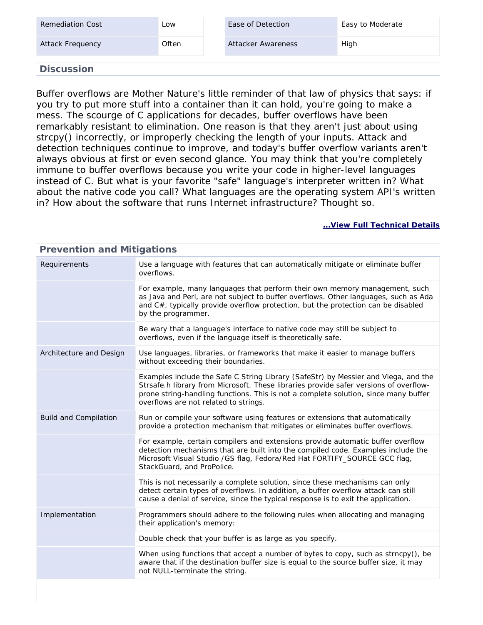| <b>Remediation Cost</b> | LOW   | Ease of Detection  | Easy to Moderate |
|-------------------------|-------|--------------------|------------------|
| Attack Frequency        | Often | Attacker Awareness | High             |
| <b>Discussion</b>       |       |                    |                  |

Buffer overflows are Mother Nature's little reminder of that law of physics that says: if you try to put more stuff into a container than it can hold, you're going to make a mess. The scourge of C applications for decades, buffer overflows have been remarkably resistant to elimination. One reason is that they aren't just about using strcpy() incorrectly, or improperly checking the length of your inputs. Attack and detection techniques continue to improve, and today's buffer overflow variants aren't always obvious at first or even second glance. You may think that you're completely immune to buffer overflows because you write your code in higher-level languages instead of C. But what is your favorite "safe" language's interpreter written in? What about the native code you call? What languages are the operating system API's written in? How about the software that runs Internet infrastructure? Thought so.

#### **[...View Full Technical Details](http://cwe.mitre.org/data/definitions/119.html)**

| Prevention and Mitigations   |                                                                                                                                                                                                                                                                                                             |  |
|------------------------------|-------------------------------------------------------------------------------------------------------------------------------------------------------------------------------------------------------------------------------------------------------------------------------------------------------------|--|
| Requirements                 | Use a language with features that can automatically mitigate or eliminate buffer<br>overflows.                                                                                                                                                                                                              |  |
|                              | For example, many languages that perform their own memory management, such<br>as Java and Perl, are not subject to buffer overflows. Other languages, such as Ada<br>and C#, typically provide overflow protection, but the protection can be disabled<br>by the programmer.                                |  |
|                              | Be wary that a language's interface to native code may still be subject to<br>overflows, even if the language itself is theoretically safe.                                                                                                                                                                 |  |
| Architecture and Design      | Use languages, libraries, or frameworks that make it easier to manage buffers<br>without exceeding their boundaries.                                                                                                                                                                                        |  |
|                              | Examples include the Safe C String Library (SafeStr) by Messier and Viega, and the<br>Strsafe.h library from Microsoft. These libraries provide safer versions of overflow-<br>prone string-handling functions. This is not a complete solution, since many buffer<br>overflows are not related to strings. |  |
| <b>Build and Compilation</b> | Run or compile your software using features or extensions that automatically<br>provide a protection mechanism that mitigates or eliminates buffer overflows.                                                                                                                                               |  |
|                              | For example, certain compilers and extensions provide automatic buffer overflow<br>detection mechanisms that are built into the compiled code. Examples include the<br>Microsoft Visual Studio / GS flag, Fedora/Red Hat FORTIFY_SOURCE GCC flag,<br>StackGuard, and ProPolice.                             |  |
|                              | This is not necessarily a complete solution, since these mechanisms can only<br>detect certain types of overflows. In addition, a buffer overflow attack can still<br>cause a denial of service, since the typical response is to exit the application.                                                     |  |
| Implementation               | Programmers should adhere to the following rules when allocating and managing<br>their application's memory:                                                                                                                                                                                                |  |
|                              | Double check that your buffer is as large as you specify.                                                                                                                                                                                                                                                   |  |
|                              | When using functions that accept a number of bytes to copy, such as strncpy(), be<br>aware that if the destination buffer size is equal to the source buffer size, it may<br>not NULL-terminate the string.                                                                                                 |  |
|                              |                                                                                                                                                                                                                                                                                                             |  |

#### **Prevention and Mitigations**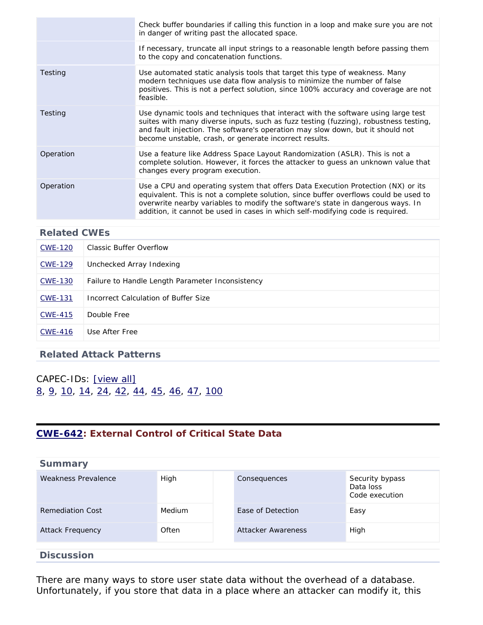|           | Check buffer boundaries if calling this function in a loop and make sure you are not<br>in danger of writing past the allocated space.                                                                                                                                                                                                        |
|-----------|-----------------------------------------------------------------------------------------------------------------------------------------------------------------------------------------------------------------------------------------------------------------------------------------------------------------------------------------------|
|           | If necessary, truncate all input strings to a reasonable length before passing them<br>to the copy and concatenation functions.                                                                                                                                                                                                               |
| Testing   | Use automated static analysis tools that target this type of weakness. Many<br>modern techniques use data flow analysis to minimize the number of false<br>positives. This is not a perfect solution, since 100% accuracy and coverage are not<br>feasible.                                                                                   |
| Testing   | Use dynamic tools and techniques that interact with the software using large test<br>suites with many diverse inputs, such as fuzz testing (fuzzing), robustness testing,<br>and fault injection. The software's operation may slow down, but it should not<br>become unstable, crash, or generate incorrect results.                         |
| Operation | Use a feature like Address Space Layout Randomization (ASLR). This is not a<br>complete solution. However, it forces the attacker to guess an unknown value that<br>changes every program execution.                                                                                                                                          |
| Operation | Use a CPU and operating system that offers Data Execution Protection (NX) or its<br>equivalent. This is not a complete solution, since buffer overflows could be used to<br>overwrite nearby variables to modify the software's state in dangerous ways. In<br>addition, it cannot be used in cases in which self-modifying code is required. |

# **Related CWEs** [CWE-120](http://cwe.mitre.org/data/definitions/120.html) | Classic Buffer Overflow [CWE-129](http://cwe.mitre.org/data/definitions/129.html) Unchecked Array Indexing [CWE-130](http://cwe.mitre.org/data/definitions/130.html) Failure to Handle Length Parameter Inconsistency [CWE-131](http://cwe.mitre.org/data/definitions/131.html) Incorrect Calculation of Buffer Size [CWE-415](http://cwe.mitre.org/data/definitions/415.html) Double Free [CWE-416](http://cwe.mitre.org/data/definitions/416.html) Use After Free

#### **Related Attack Patterns**

CAPEC-IDs: [\[view all\]](http://cwe.mitre.org/data/definitions/119.html#Related_Attack_Patterns) [8](http://capec.mitre.org/data/definitions/8.html), [9,](http://capec.mitre.org/data/definitions/9.html) [10,](http://capec.mitre.org/data/definitions/10.html) [14,](http://capec.mitre.org/data/definitions/14.html) [24,](http://capec.mitre.org/data/definitions/24.html) [42,](http://capec.mitre.org/data/definitions/42.html) [44](http://capec.mitre.org/data/definitions/44.html), [45](http://capec.mitre.org/data/definitions/45.html), [46](http://capec.mitre.org/data/definitions/46.html), [47](http://capec.mitre.org/data/definitions/47.html), [100](http://capec.mitre.org/data/definitions/100.html)

### <span id="page-21-0"></span>**[CWE-642](http://cwe.mitre.org/data/definitions/642.html): External Control of Critical State Data**

| <b>Summary</b>          |               |                    |                                                |
|-------------------------|---------------|--------------------|------------------------------------------------|
| Weakness Prevalence     | High          | Consequences       | Security bypass<br>Data loss<br>Code execution |
| Remediation Cost        | <b>Medium</b> | Ease of Detection  | Easy                                           |
| <b>Attack Frequency</b> | Often         | Attacker Awareness | High                                           |
| <b>Discussion</b>       |               |                    |                                                |

There are many ways to store user state data without the overhead of a database. Unfortunately, if you store that data in a place where an attacker can modify it, this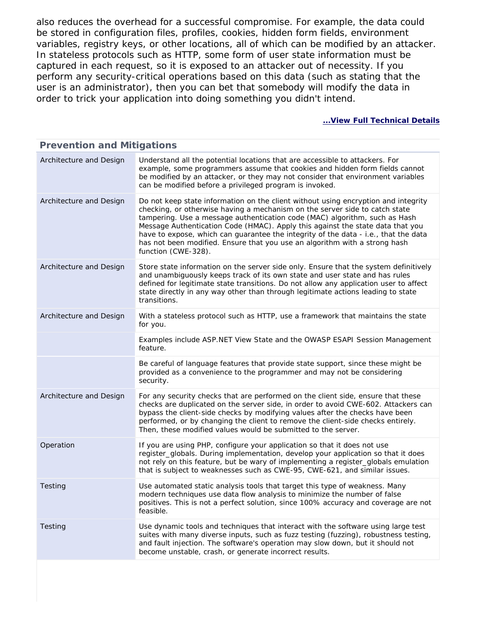also reduces the overhead for a successful compromise. For example, the data could be stored in configuration files, profiles, cookies, hidden form fields, environment variables, registry keys, or other locations, all of which can be modified by an attacker. In stateless protocols such as HTTP, some form of user state information must be captured in each request, so it is exposed to an attacker out of necessity. If you perform any security-critical operations based on this data (such as stating that the user is an administrator), then you can bet that somebody will modify the data in order to trick your application into doing something you didn't intend.

| <b>Prevention and Mitigations</b> |                                                                                                                                                                                                                                                                                                                                                                                                                                                                                                                               |  |
|-----------------------------------|-------------------------------------------------------------------------------------------------------------------------------------------------------------------------------------------------------------------------------------------------------------------------------------------------------------------------------------------------------------------------------------------------------------------------------------------------------------------------------------------------------------------------------|--|
| Architecture and Design           | Understand all the potential locations that are accessible to attackers. For<br>example, some programmers assume that cookies and hidden form fields cannot<br>be modified by an attacker, or they may not consider that environment variables<br>can be modified before a privileged program is invoked.                                                                                                                                                                                                                     |  |
| Architecture and Design           | Do not keep state information on the client without using encryption and integrity<br>checking, or otherwise having a mechanism on the server side to catch state<br>tampering. Use a message authentication code (MAC) algorithm, such as Hash<br>Message Authentication Code (HMAC). Apply this against the state data that you<br>have to expose, which can guarantee the integrity of the data - i.e., that the data<br>has not been modified. Ensure that you use an algorithm with a strong hash<br>function (CWE-328). |  |
| Architecture and Design           | Store state information on the server side only. Ensure that the system definitively<br>and unambiguously keeps track of its own state and user state and has rules<br>defined for legitimate state transitions. Do not allow any application user to affect<br>state directly in any way other than through legitimate actions leading to state<br>transitions.                                                                                                                                                              |  |
| Architecture and Design           | With a stateless protocol such as HTTP, use a framework that maintains the state<br>for you.                                                                                                                                                                                                                                                                                                                                                                                                                                  |  |
|                                   | Examples include ASP.NET View State and the OWASP ESAPI Session Management<br>feature.                                                                                                                                                                                                                                                                                                                                                                                                                                        |  |
|                                   | Be careful of language features that provide state support, since these might be<br>provided as a convenience to the programmer and may not be considering<br>security.                                                                                                                                                                                                                                                                                                                                                       |  |
| Architecture and Design           | For any security checks that are performed on the client side, ensure that these<br>checks are duplicated on the server side, in order to avoid CWE-602. Attackers can<br>bypass the client-side checks by modifying values after the checks have been<br>performed, or by changing the client to remove the client-side checks entirely.<br>Then, these modified values would be submitted to the server.                                                                                                                    |  |
| Operation                         | If you are using PHP, configure your application so that it does not use<br>register_globals. During implementation, develop your application so that it does<br>not rely on this feature, but be wary of implementing a register_globals emulation<br>that is subject to weaknesses such as CWE-95, CWE-621, and similar issues.                                                                                                                                                                                             |  |
| Testing                           | Use automated static analysis tools that target this type of weakness. Many<br>modern techniques use data flow analysis to minimize the number of false<br>positives. This is not a perfect solution, since 100% accuracy and coverage are not<br>feasible.                                                                                                                                                                                                                                                                   |  |
| Testing                           | Use dynamic tools and techniques that interact with the software using large test<br>suites with many diverse inputs, such as fuzz testing (fuzzing), robustness testing,<br>and fault injection. The software's operation may slow down, but it should not<br>become unstable, crash, or generate incorrect results.                                                                                                                                                                                                         |  |
|                                   |                                                                                                                                                                                                                                                                                                                                                                                                                                                                                                                               |  |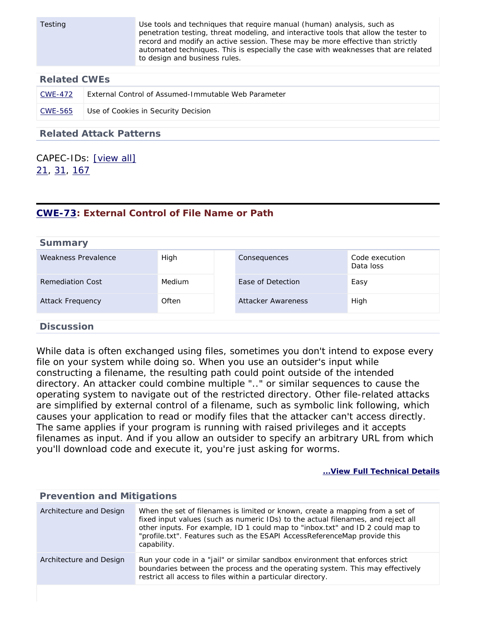| Testing                        |                                                     | Use tools and techniques that require manual (human) analysis, such as<br>penetration testing, threat modeling, and interactive tools that allow the tester to<br>record and modify an active session. These may be more effective than strictly<br>automated techniques. This is especially the case with weaknesses that are related<br>to design and business rules. |
|--------------------------------|-----------------------------------------------------|-------------------------------------------------------------------------------------------------------------------------------------------------------------------------------------------------------------------------------------------------------------------------------------------------------------------------------------------------------------------------|
| <b>Related CWEs</b>            |                                                     |                                                                                                                                                                                                                                                                                                                                                                         |
| <b>CWE-472</b>                 | External Control of Assumed-Immutable Web Parameter |                                                                                                                                                                                                                                                                                                                                                                         |
| <b>CWE-565</b>                 | Use of Cookies in Security Decision                 |                                                                                                                                                                                                                                                                                                                                                                         |
| <b>Related Attack Patterns</b> |                                                     |                                                                                                                                                                                                                                                                                                                                                                         |

CAPEC-IDs: [\[view all\]](http://cwe.mitre.org/data/definitions/642.html#Related_Attack_Patterns) [21,](http://capec.mitre.org/data/definitions/21.html) [31,](http://capec.mitre.org/data/definitions/31.html) [167](http://capec.mitre.org/data/definitions/167.html)

#### <span id="page-23-0"></span>**[CWE-73](http://cwe.mitre.org/data/definitions/73.html): External Control of File Name or Path**

| <b>Summary</b>          |        |                    |                             |
|-------------------------|--------|--------------------|-----------------------------|
| Weakness Prevalence     | High   | Consequences       | Code execution<br>Data loss |
| Remediation Cost        | Medium | Ease of Detection  | Easy                        |
| <b>Attack Frequency</b> | Often  | Attacker Awareness | High                        |
| <b>Discussion</b>       |        |                    |                             |

While data is often exchanged using files, sometimes you don't intend to expose every file on your system while doing so. When you use an outsider's input while constructing a filename, the resulting path could point outside of the intended directory. An attacker could combine multiple ".." or similar sequences to cause the operating system to navigate out of the restricted directory. Other file-related attacks are simplified by external control of a filename, such as symbolic link following, which causes your application to read or modify files that the attacker can't access directly. The same applies if your program is running with raised privileges and it accepts filenames as input. And if you allow an outsider to specify an arbitrary URL from which you'll download code and execute it, you're just asking for worms.

| <b>Prevention and Mitigations</b> |                                                                                                                                                                                                                                                                                                                                                 |  |
|-----------------------------------|-------------------------------------------------------------------------------------------------------------------------------------------------------------------------------------------------------------------------------------------------------------------------------------------------------------------------------------------------|--|
| Architecture and Design           | When the set of filenames is limited or known, create a mapping from a set of<br>fixed input values (such as numeric IDs) to the actual filenames, and reject all<br>other inputs. For example, ID 1 could map to "inbox.txt" and ID 2 could map to<br>"profile.txt". Features such as the ESAPI AccessReferenceMap provide this<br>capability. |  |
| Architecture and Design           | Run your code in a "jail" or similar sandbox environment that enforces strict<br>boundaries between the process and the operating system. This may effectively<br>restrict all access to files within a particular directory.                                                                                                                   |  |
|                                   |                                                                                                                                                                                                                                                                                                                                                 |  |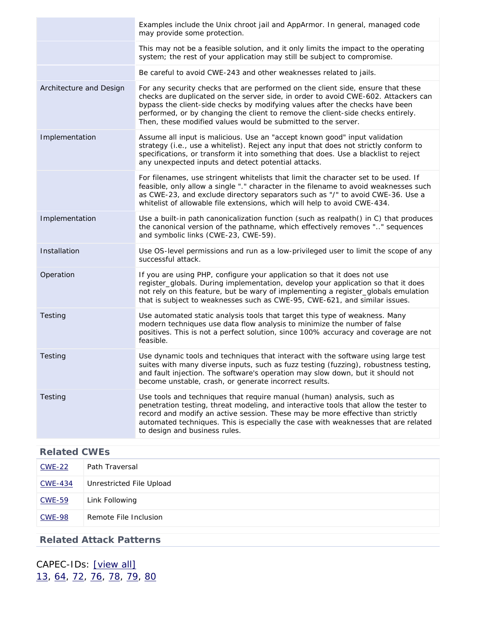| Examples include the Unix chroot jail and AppArmor. In general, managed code<br>may provide some protection.                                                                                                                                                                                                                                                                                               |
|------------------------------------------------------------------------------------------------------------------------------------------------------------------------------------------------------------------------------------------------------------------------------------------------------------------------------------------------------------------------------------------------------------|
| This may not be a feasible solution, and it only limits the impact to the operating<br>system; the rest of your application may still be subject to compromise.                                                                                                                                                                                                                                            |
| Be careful to avoid CWE-243 and other weaknesses related to jails.                                                                                                                                                                                                                                                                                                                                         |
| For any security checks that are performed on the client side, ensure that these<br>checks are duplicated on the server side, in order to avoid CWE-602. Attackers can<br>bypass the client-side checks by modifying values after the checks have been<br>performed, or by changing the client to remove the client-side checks entirely.<br>Then, these modified values would be submitted to the server. |
| Assume all input is malicious. Use an "accept known good" input validation<br>strategy (i.e., use a whitelist). Reject any input that does not strictly conform to<br>specifications, or transform it into something that does. Use a blacklist to reject<br>any unexpected inputs and detect potential attacks.                                                                                           |
| For filenames, use stringent whitelists that limit the character set to be used. If<br>feasible, only allow a single "." character in the filename to avoid weaknesses such<br>as CWE-23, and exclude directory separators such as "/" to avoid CWE-36. Use a<br>whitelist of allowable file extensions, which will help to avoid CWE-434.                                                                 |
| Use a built-in path canonicalization function (such as realpath() in C) that produces<br>the canonical version of the pathname, which effectively removes "" sequences<br>and symbolic links (CWE-23, CWE-59).                                                                                                                                                                                             |
| Use OS-level permissions and run as a low-privileged user to limit the scope of any<br>successful attack.                                                                                                                                                                                                                                                                                                  |
| If you are using PHP, configure your application so that it does not use<br>register_globals. During implementation, develop your application so that it does<br>not rely on this feature, but be wary of implementing a register_globals emulation<br>that is subject to weaknesses such as CWE-95, CWE-621, and similar issues.                                                                          |
| Use automated static analysis tools that target this type of weakness. Many<br>modern techniques use data flow analysis to minimize the number of false<br>positives. This is not a perfect solution, since 100% accuracy and coverage are not<br>feasible.                                                                                                                                                |
| Use dynamic tools and techniques that interact with the software using large test<br>suites with many diverse inputs, such as fuzz testing (fuzzing), robustness testing,<br>and fault injection. The software's operation may slow down, but it should not<br>become unstable, crash, or generate incorrect results.                                                                                      |
| Use tools and techniques that require manual (human) analysis, such as<br>penetration testing, threat modeling, and interactive tools that allow the tester to<br>record and modify an active session. These may be more effective than strictly<br>automated techniques. This is especially the case with weaknesses that are related<br>to design and business rules.                                    |
|                                                                                                                                                                                                                                                                                                                                                                                                            |

| <u>CWE-22</u>  | Path Traversal           |
|----------------|--------------------------|
| <b>CWE-434</b> | Unrestricted File Upload |
| <b>CWE-59</b>  | Link Following           |
| <b>CWE-98</b>  | Remote File Inclusion    |

### **Related Attack Patterns**

<span id="page-24-0"></span>CAPEC-IDs: [\[view all\]](http://cwe.mitre.org/data/definitions/73.html#Related_Attack_Patterns) [13,](http://capec.mitre.org/data/definitions/13.html) [64,](http://capec.mitre.org/data/definitions/64.html) [72,](http://capec.mitre.org/data/definitions/72.html) [76](http://capec.mitre.org/data/definitions/76.html), [78](http://capec.mitre.org/data/definitions/78.html), [79](http://capec.mitre.org/data/definitions/79.html), [80](http://capec.mitre.org/data/definitions/80.html)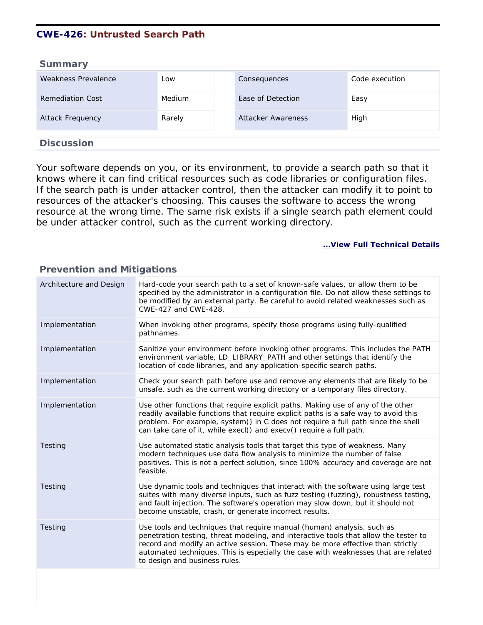### **[CWE-426](http://cwe.mitre.org/data/definitions/426.html): Untrusted Search Path**

| <b>Summary</b>          |               |                           |                |
|-------------------------|---------------|---------------------------|----------------|
| Weakness Prevalence     | Low           | Consequences              | Code execution |
| Remediation Cost        | <b>Medium</b> | Ease of Detection         | Easy           |
| <b>Attack Frequency</b> | Rarely        | <b>Attacker Awareness</b> | High           |
|                         |               |                           |                |
| <b>Discussion</b>       |               |                           |                |

Your software depends on you, or its environment, to provide a search path so that it knows where it can find critical resources such as code libraries or configuration files. If the search path is under attacker control, then the attacker can modify it to point to resources of the attacker's choosing. This causes the software to access the wrong resource at the wrong time. The same risk exists if a single search path element could be under attacker control, such as the current working directory.

| <b>Prevention and Mitigations</b> |                                                                                                                                                                                                                                                                                                                                                                         |  |
|-----------------------------------|-------------------------------------------------------------------------------------------------------------------------------------------------------------------------------------------------------------------------------------------------------------------------------------------------------------------------------------------------------------------------|--|
| Architecture and Design           | Hard-code your search path to a set of known-safe values, or allow them to be<br>specified by the administrator in a configuration file. Do not allow these settings to<br>be modified by an external party. Be careful to avoid related weaknesses such as<br>CWE-427 and CWE-428.                                                                                     |  |
| Implementation                    | When invoking other programs, specify those programs using fully-qualified<br>pathnames.                                                                                                                                                                                                                                                                                |  |
| Implementation                    | Sanitize your environment before invoking other programs. This includes the PATH<br>environment variable, LD_LIBRARY_PATH and other settings that identify the<br>location of code libraries, and any application-specific search paths.                                                                                                                                |  |
| Implementation                    | Check your search path before use and remove any elements that are likely to be<br>unsafe, such as the current working directory or a temporary files directory.                                                                                                                                                                                                        |  |
| Implementation                    | Use other functions that require explicit paths. Making use of any of the other<br>readily available functions that require explicit paths is a safe way to avoid this<br>problem. For example, system() in C does not require a full path since the shell<br>can take care of it, while execl() and execv() require a full path.                                       |  |
| Testing                           | Use automated static analysis tools that target this type of weakness. Many<br>modern techniques use data flow analysis to minimize the number of false<br>positives. This is not a perfect solution, since 100% accuracy and coverage are not<br>feasible.                                                                                                             |  |
| Testing                           | Use dynamic tools and techniques that interact with the software using large test<br>suites with many diverse inputs, such as fuzz testing (fuzzing), robustness testing,<br>and fault injection. The software's operation may slow down, but it should not<br>become unstable, crash, or generate incorrect results.                                                   |  |
| <b>Testing</b>                    | Use tools and techniques that require manual (human) analysis, such as<br>penetration testing, threat modeling, and interactive tools that allow the tester to<br>record and modify an active session. These may be more effective than strictly<br>automated techniques. This is especially the case with weaknesses that are related<br>to design and business rules. |  |
|                                   |                                                                                                                                                                                                                                                                                                                                                                         |  |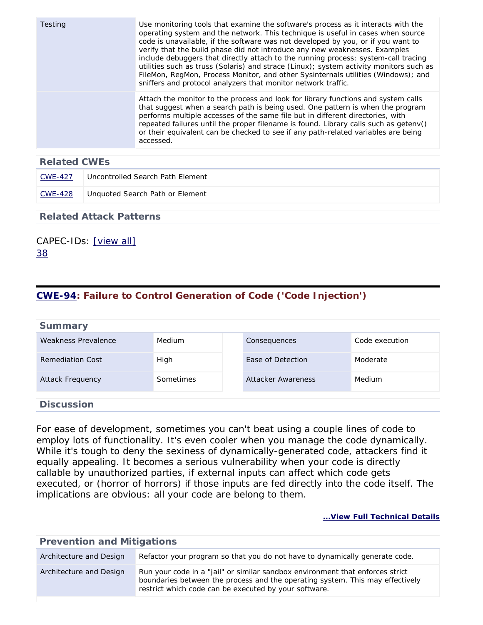| <b>Testing</b> | Use monitoring tools that examine the software's process as it interacts with the<br>operating system and the network. This technique is useful in cases when source<br>code is unavailable, if the software was not developed by you, or if you want to<br>verify that the build phase did not introduce any new weaknesses. Examples<br>include debuggers that directly attach to the running process; system-call tracing<br>utilities such as truss (Solaris) and strace (Linux); system activity monitors such as<br>FileMon, RegMon, Process Monitor, and other Sysinternals utilities (Windows); and<br>sniffers and protocol analyzers that monitor network traffic. |
|----------------|------------------------------------------------------------------------------------------------------------------------------------------------------------------------------------------------------------------------------------------------------------------------------------------------------------------------------------------------------------------------------------------------------------------------------------------------------------------------------------------------------------------------------------------------------------------------------------------------------------------------------------------------------------------------------|
|                | Attach the monitor to the process and look for library functions and system calls<br>that suggest when a search path is being used. One pattern is when the program<br>performs multiple accesses of the same file but in different directories, with<br>repeated failures until the proper filename is found. Library calls such as getenv()<br>or their equivalent can be checked to see if any path-related variables are being<br>accessed.                                                                                                                                                                                                                              |

| CWE-427 | Uncontrolled Search Path Element |
|---------|----------------------------------|
| CWE-428 | Unguoted Search Path or Element  |

#### **Related Attack Patterns**

### CAPEC-IDs: [\[view all\]](http://cwe.mitre.org/data/definitions/426.html#Related_Attack_Patterns) [38](http://capec.mitre.org/data/definitions/38.html)

### <span id="page-26-0"></span>**[CWE-94](http://cwe.mitre.org/data/definitions/94.html): Failure to Control Generation of Code ('Code Injection')**

| <b>Summary</b>          |           |                    |                |
|-------------------------|-----------|--------------------|----------------|
| Weakness Prevalence     | Medium    | Consequences       | Code execution |
| Remediation Cost        | High      | Ease of Detection  | Moderate       |
| <b>Attack Frequency</b> | Sometimes | Attacker Awareness | Medium         |
| <b>Discussion</b>       |           |                    |                |

For ease of development, sometimes you can't beat using a couple lines of code to employ lots of functionality. It's even cooler when you manage the code dynamically. While it's tough to deny the sexiness of dynamically-generated code, attackers find it equally appealing. It becomes a serious vulnerability when your code is directly callable by unauthorized parties, if external inputs can affect which code gets executed, or (horror of horrors) if those inputs are fed directly into the code itself. The implications are obvious: all your code are belong to them.

| <b>Prevention and Mitigations</b> |                                                                                                                                                                                                                         |  |
|-----------------------------------|-------------------------------------------------------------------------------------------------------------------------------------------------------------------------------------------------------------------------|--|
| Architecture and Design           | Refactor your program so that you do not have to dynamically generate code.                                                                                                                                             |  |
| Architecture and Design           | Run your code in a "jail" or similar sandbox environment that enforces strict<br>boundaries between the process and the operating system. This may effectively<br>restrict which code can be executed by your software. |  |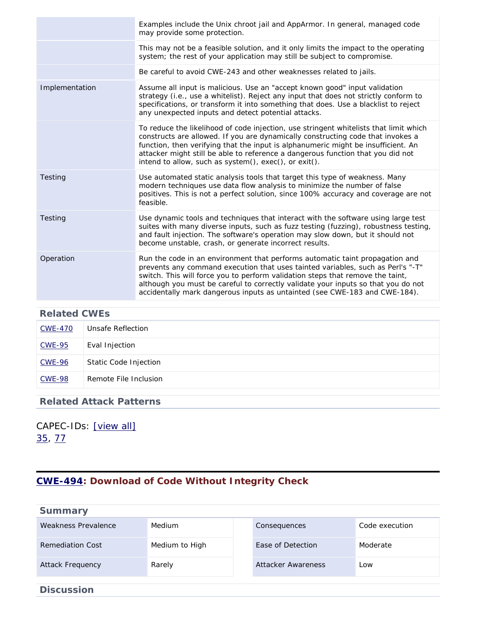|                | Examples include the Unix chroot jail and AppArmor. In general, managed code<br>may provide some protection.                                                                                                                                                                                                                                                                                                         |
|----------------|----------------------------------------------------------------------------------------------------------------------------------------------------------------------------------------------------------------------------------------------------------------------------------------------------------------------------------------------------------------------------------------------------------------------|
|                | This may not be a feasible solution, and it only limits the impact to the operating<br>system; the rest of your application may still be subject to compromise.                                                                                                                                                                                                                                                      |
|                | Be careful to avoid CWE-243 and other weaknesses related to jails.                                                                                                                                                                                                                                                                                                                                                   |
| Implementation | Assume all input is malicious. Use an "accept known good" input validation<br>strategy (i.e., use a whitelist). Reject any input that does not strictly conform to<br>specifications, or transform it into something that does. Use a blacklist to reject<br>any unexpected inputs and detect potential attacks.                                                                                                     |
|                | To reduce the likelihood of code injection, use stringent whitelists that limit which<br>constructs are allowed. If you are dynamically constructing code that invokes a<br>function, then verifying that the input is alphanumeric might be insufficient. An<br>attacker might still be able to reference a dangerous function that you did not<br>intend to allow, such as system(), exec(), or exit().            |
| Testing        | Use automated static analysis tools that target this type of weakness. Many<br>modern techniques use data flow analysis to minimize the number of false<br>positives. This is not a perfect solution, since 100% accuracy and coverage are not<br>feasible.                                                                                                                                                          |
| Testing        | Use dynamic tools and techniques that interact with the software using large test<br>suites with many diverse inputs, such as fuzz testing (fuzzing), robustness testing,<br>and fault injection. The software's operation may slow down, but it should not<br>become unstable, crash, or generate incorrect results.                                                                                                |
| Operation      | Run the code in an environment that performs automatic taint propagation and<br>prevents any command execution that uses tainted variables, such as Perl's "-T"<br>switch. This will force you to perform validation steps that remove the taint,<br>although you must be careful to correctly validate your inputs so that you do not<br>accidentally mark dangerous inputs as untainted (see CWE-183 and CWE-184). |

| <b>CWE-470</b> | Unsafe Reflection     |
|----------------|-----------------------|
| <b>CWE-95</b>  | Eval Injection        |
| <b>CWE-96</b>  | Static Code Injection |
| <b>CWE-98</b>  | Remote File Inclusion |

### **Related Attack Patterns**

CAPEC-IDs: [\[view all\]](http://cwe.mitre.org/data/definitions/94.html#Related_Attack_Patterns) [35,](http://capec.mitre.org/data/definitions/35.html) [77](http://capec.mitre.org/data/definitions/77.html)

### <span id="page-27-0"></span>**[CWE-494](http://cwe.mitre.org/data/definitions/494.html): Download of Code Without Integrity Check**

| <b>Summary</b>             |                |                           |                |
|----------------------------|----------------|---------------------------|----------------|
| <b>Weakness Prevalence</b> | Medium         | Consequences              | Code execution |
| <b>Remediation Cost</b>    | Medium to High | Ease of Detection         | Moderate       |
| <b>Attack Frequency</b>    | Rarely         | <b>Attacker Awareness</b> | Low            |
| <b>Discussion</b>          |                |                           |                |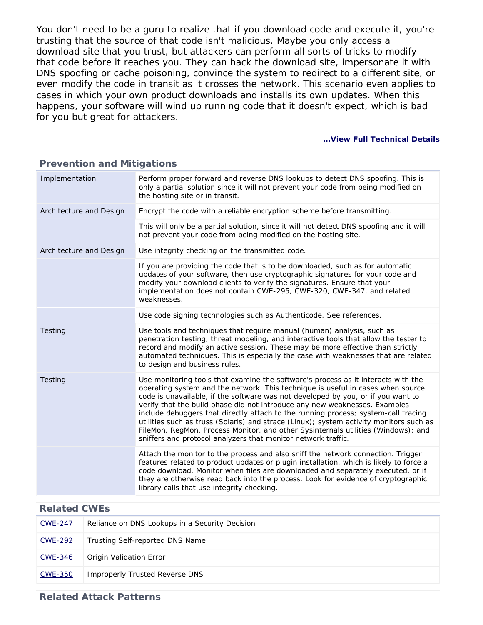You don't need to be a guru to realize that if you download code and execute it, you're trusting that the source of that code isn't malicious. Maybe you only access a download site that you trust, but attackers can perform all sorts of tricks to modify that code before it reaches you. They can hack the download site, impersonate it with DNS spoofing or cache poisoning, convince the system to redirect to a different site, or even modify the code in transit as it crosses the network. This scenario even applies to cases in which your own product downloads and installs its own updates. When this happens, your software will wind up running code that it doesn't expect, which is bad for you but great for attackers.

#### **[...View Full Technical Details](http://cwe.mitre.org/data/definitions/494.html)**

| . . evention and mitigations |                                                                                                                                                                                                                                                                                                                                                                                                                                                                                                                                                                                                                                                                              |  |  |  |
|------------------------------|------------------------------------------------------------------------------------------------------------------------------------------------------------------------------------------------------------------------------------------------------------------------------------------------------------------------------------------------------------------------------------------------------------------------------------------------------------------------------------------------------------------------------------------------------------------------------------------------------------------------------------------------------------------------------|--|--|--|
| Implementation               | Perform proper forward and reverse DNS lookups to detect DNS spoofing. This is<br>only a partial solution since it will not prevent your code from being modified on<br>the hosting site or in transit.                                                                                                                                                                                                                                                                                                                                                                                                                                                                      |  |  |  |
| Architecture and Design      | Encrypt the code with a reliable encryption scheme before transmitting.                                                                                                                                                                                                                                                                                                                                                                                                                                                                                                                                                                                                      |  |  |  |
|                              | This will only be a partial solution, since it will not detect DNS spoofing and it will<br>not prevent your code from being modified on the hosting site.                                                                                                                                                                                                                                                                                                                                                                                                                                                                                                                    |  |  |  |
| Architecture and Design      | Use integrity checking on the transmitted code.                                                                                                                                                                                                                                                                                                                                                                                                                                                                                                                                                                                                                              |  |  |  |
|                              | If you are providing the code that is to be downloaded, such as for automatic<br>updates of your software, then use cryptographic signatures for your code and<br>modify your download clients to verify the signatures. Ensure that your<br>implementation does not contain CWE-295, CWE-320, CWE-347, and related<br>weaknesses.                                                                                                                                                                                                                                                                                                                                           |  |  |  |
|                              | Use code signing technologies such as Authenticode. See references.                                                                                                                                                                                                                                                                                                                                                                                                                                                                                                                                                                                                          |  |  |  |
| <b>Testing</b>               | Use tools and techniques that require manual (human) analysis, such as<br>penetration testing, threat modeling, and interactive tools that allow the tester to<br>record and modify an active session. These may be more effective than strictly<br>automated techniques. This is especially the case with weaknesses that are related<br>to design and business rules.                                                                                                                                                                                                                                                                                                      |  |  |  |
| <b>Testing</b>               | Use monitoring tools that examine the software's process as it interacts with the<br>operating system and the network. This technique is useful in cases when source<br>code is unavailable, if the software was not developed by you, or if you want to<br>verify that the build phase did not introduce any new weaknesses. Examples<br>include debuggers that directly attach to the running process; system-call tracing<br>utilities such as truss (Solaris) and strace (Linux); system activity monitors such as<br>FileMon, RegMon, Process Monitor, and other Sysinternals utilities (Windows); and<br>sniffers and protocol analyzers that monitor network traffic. |  |  |  |
|                              | Attach the monitor to the process and also sniff the network connection. Trigger<br>features related to product updates or plugin installation, which is likely to force a<br>code download. Monitor when files are downloaded and separately executed, or if<br>they are otherwise read back into the process. Look for evidence of cryptographic<br>library calls that use integrity checking.                                                                                                                                                                                                                                                                             |  |  |  |

### **Prevention and Mitigations**

| <b>Related CWEs</b> |                                                |  |
|---------------------|------------------------------------------------|--|
| <b>CWE-247</b>      | Reliance on DNS Lookups in a Security Decision |  |
| CWE-292             | Trusting Self-reported DNS Name                |  |
| CWE-346             | Origin Validation Error                        |  |
| <b>CWE-350</b>      | <b>Improperly Trusted Reverse DNS</b>          |  |

#### **Related Attack Patterns**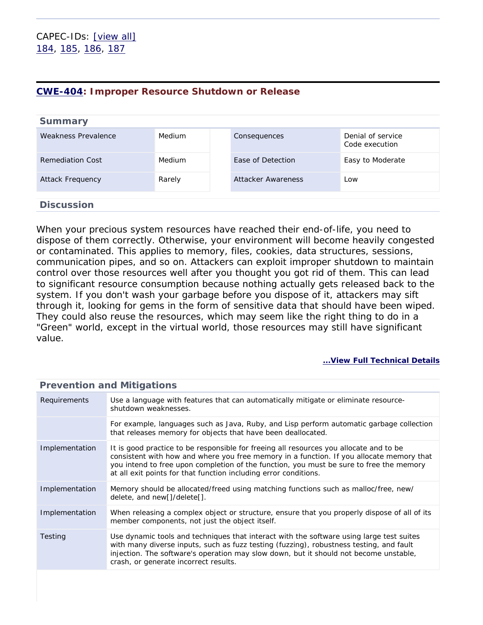### <span id="page-29-0"></span>**[CWE-404](http://cwe.mitre.org/data/definitions/404.html): Improper Resource Shutdown or Release**

| <b>Summary</b>      |        |                    |                                     |
|---------------------|--------|--------------------|-------------------------------------|
| Weakness Prevalence | Medium | Consequences       | Denial of service<br>Code execution |
| Remediation Cost    | Medium | Ease of Detection  | Easy to Moderate                    |
| Attack Frequency    | Rarely | Attacker Awareness | Low                                 |
| <b>Discussion</b>   |        |                    |                                     |

When your precious system resources have reached their end-of-life, you need to dispose of them correctly. Otherwise, your environment will become heavily congested or contaminated. This applies to memory, files, cookies, data structures, sessions, communication pipes, and so on. Attackers can exploit improper shutdown to maintain control over those resources well after you thought you got rid of them. This can lead to significant resource consumption because nothing actually gets released back to the system. If you don't wash your garbage before you dispose of it, attackers may sift through it, looking for gems in the form of sensitive data that should have been wiped. They could also reuse the resources, which may seem like the right thing to do in a "Green" world, except in the virtual world, those resources may still have significant value.

#### **[...View Full Technical Details](http://cwe.mitre.org/data/definitions/404.html)**

| Requirements   | Use a language with features that can automatically mitigate or eliminate resource-<br>shutdown weaknesses.                                                                                                                                                                                                                                       |  |  |
|----------------|---------------------------------------------------------------------------------------------------------------------------------------------------------------------------------------------------------------------------------------------------------------------------------------------------------------------------------------------------|--|--|
|                | For example, languages such as Java, Ruby, and Lisp perform automatic garbage collection<br>that releases memory for objects that have been deallocated.                                                                                                                                                                                          |  |  |
| Implementation | It is good practice to be responsible for freeing all resources you allocate and to be<br>consistent with how and where you free memory in a function. If you allocate memory that<br>you intend to free upon completion of the function, you must be sure to free the memory<br>at all exit points for that function including error conditions. |  |  |
| Implementation | Memory should be allocated/freed using matching functions such as malloc/free, new/<br>delete, and new[]/delete[].                                                                                                                                                                                                                                |  |  |
| Implementation | When releasing a complex object or structure, ensure that you properly dispose of all of its<br>member components, not just the object itself.                                                                                                                                                                                                    |  |  |
| Testing        | Use dynamic tools and techniques that interact with the software using large test suites<br>with many diverse inputs, such as fuzz testing (fuzzing), robustness testing, and fault<br>injection. The software's operation may slow down, but it should not become unstable,<br>crash, or generate incorrect results.                             |  |  |
|                |                                                                                                                                                                                                                                                                                                                                                   |  |  |

### **Prevention and Mitigations**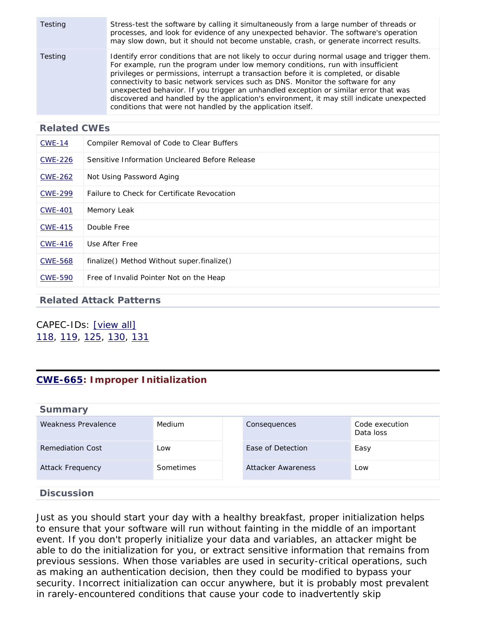| Testing | Stress-test the software by calling it simultaneously from a large number of threads or<br>processes, and look for evidence of any unexpected behavior. The software's operation<br>may slow down, but it should not become unstable, crash, or generate incorrect results.                                                                                                                                                                                                                                                                                                                                      |
|---------|------------------------------------------------------------------------------------------------------------------------------------------------------------------------------------------------------------------------------------------------------------------------------------------------------------------------------------------------------------------------------------------------------------------------------------------------------------------------------------------------------------------------------------------------------------------------------------------------------------------|
| Testing | Identify error conditions that are not likely to occur during normal usage and trigger them.<br>For example, run the program under low memory conditions, run with insufficient<br>privileges or permissions, interrupt a transaction before it is completed, or disable<br>connectivity to basic network services such as DNS. Monitor the software for any<br>unexpected behavior. If you trigger an unhandled exception or similar error that was<br>discovered and handled by the application's environment, it may still indicate unexpected<br>conditions that were not handled by the application itself. |

| <b>CWE-14</b>  | Compiler Removal of Code to Clear Buffers      |
|----------------|------------------------------------------------|
| <b>CWE-226</b> | Sensitive Information Uncleared Before Release |
| <b>CWE-262</b> | Not Using Password Aging                       |
| <b>CWE-299</b> | Failure to Check for Certificate Revocation    |
| <b>CWE-401</b> | Memory Leak                                    |
| <b>CWE-415</b> | Double Free                                    |
| <b>CWE-416</b> | Use After Free                                 |
| <b>CWE-568</b> | finalize() Method Without super.finalize()     |
| <b>CWE-590</b> | Free of Invalid Pointer Not on the Heap        |

#### **Related Attack Patterns**

CAPEC-IDs: [\[view all\]](http://cwe.mitre.org/data/definitions/404.html#Related_Attack_Patterns) [118](http://capec.mitre.org/data/definitions/118.html), [119](http://capec.mitre.org/data/definitions/119.html), [125](http://capec.mitre.org/data/definitions/125.html), [130,](http://capec.mitre.org/data/definitions/130.html) [131](http://capec.mitre.org/data/definitions/131.html)

### <span id="page-30-0"></span>**[CWE-665](http://cwe.mitre.org/data/definitions/665.html): Improper Initialization**

| <b>Summar</b> |  |  |
|---------------|--|--|
|               |  |  |

| Weakness Prevalence     | Medium           | Consequences       | Code execution<br>Data loss |
|-------------------------|------------------|--------------------|-----------------------------|
| Remediation Cost        | Low              | Ease of Detection  | Easy                        |
| <b>Attack Frequency</b> | <b>Sometimes</b> | Attacker Awareness | Low                         |
| <b>Discussion</b>       |                  |                    |                             |

Just as you should start your day with a healthy breakfast, proper initialization helps to ensure that your software will run without fainting in the middle of an important event. If you don't properly initialize your data and variables, an attacker might be able to do the initialization for you, or extract sensitive information that remains from previous sessions. When those variables are used in security-critical operations, such as making an authentication decision, then they could be modified to bypass your security. Incorrect initialization can occur anywhere, but it is probably most prevalent in rarely-encountered conditions that cause your code to inadvertently skip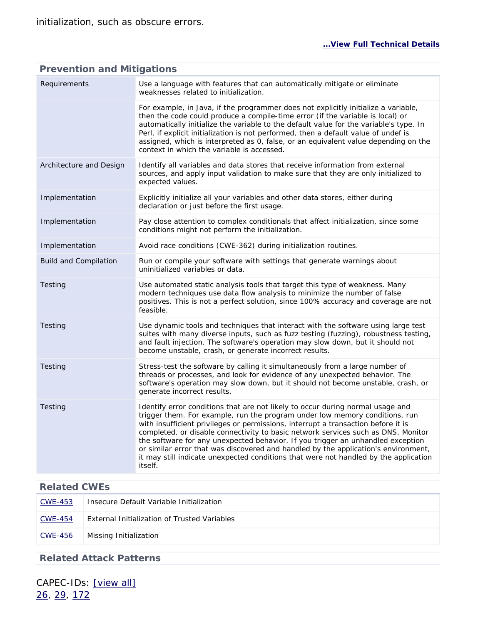| <b>Prevention and Mitigations</b> |                                                                                                                                                                                                                                                                                                                                                                                                                                                                                                                                                                                                                     |  |  |
|-----------------------------------|---------------------------------------------------------------------------------------------------------------------------------------------------------------------------------------------------------------------------------------------------------------------------------------------------------------------------------------------------------------------------------------------------------------------------------------------------------------------------------------------------------------------------------------------------------------------------------------------------------------------|--|--|
| Requirements                      | Use a language with features that can automatically mitigate or eliminate<br>weaknesses related to initialization.                                                                                                                                                                                                                                                                                                                                                                                                                                                                                                  |  |  |
|                                   | For example, in Java, if the programmer does not explicitly initialize a variable,<br>then the code could produce a compile-time error (if the variable is local) or<br>automatically initialize the variable to the default value for the variable's type. In<br>Perl, if explicit initialization is not performed, then a default value of undef is<br>assigned, which is interpreted as 0, false, or an equivalent value depending on the<br>context in which the variable is accessed.                                                                                                                          |  |  |
| Architecture and Design           | Identify all variables and data stores that receive information from external<br>sources, and apply input validation to make sure that they are only initialized to<br>expected values.                                                                                                                                                                                                                                                                                                                                                                                                                             |  |  |
| Implementation                    | Explicitly initialize all your variables and other data stores, either during<br>declaration or just before the first usage.                                                                                                                                                                                                                                                                                                                                                                                                                                                                                        |  |  |
| Implementation                    | Pay close attention to complex conditionals that affect initialization, since some<br>conditions might not perform the initialization.                                                                                                                                                                                                                                                                                                                                                                                                                                                                              |  |  |
| Implementation                    | Avoid race conditions (CWE-362) during initialization routines.                                                                                                                                                                                                                                                                                                                                                                                                                                                                                                                                                     |  |  |
| <b>Build and Compilation</b>      | Run or compile your software with settings that generate warnings about<br>uninitialized variables or data.                                                                                                                                                                                                                                                                                                                                                                                                                                                                                                         |  |  |
| Testing                           | Use automated static analysis tools that target this type of weakness. Many<br>modern techniques use data flow analysis to minimize the number of false<br>positives. This is not a perfect solution, since 100% accuracy and coverage are not<br>feasible.                                                                                                                                                                                                                                                                                                                                                         |  |  |
| Testing                           | Use dynamic tools and techniques that interact with the software using large test<br>suites with many diverse inputs, such as fuzz testing (fuzzing), robustness testing,<br>and fault injection. The software's operation may slow down, but it should not<br>become unstable, crash, or generate incorrect results.                                                                                                                                                                                                                                                                                               |  |  |
| Testing                           | Stress-test the software by calling it simultaneously from a large number of<br>threads or processes, and look for evidence of any unexpected behavior. The<br>software's operation may slow down, but it should not become unstable, crash, or<br>generate incorrect results.                                                                                                                                                                                                                                                                                                                                      |  |  |
| Testing                           | Identify error conditions that are not likely to occur during normal usage and<br>trigger them. For example, run the program under low memory conditions, run<br>with insufficient privileges or permissions, interrupt a transaction before it is<br>completed, or disable connectivity to basic network services such as DNS. Monitor<br>the software for any unexpected behavior. If you trigger an unhandled exception<br>or similar error that was discovered and handled by the application's environment,<br>it may still indicate unexpected conditions that were not handled by the application<br>itself. |  |  |

# **Related CWEs** [CWE-453](http://cwe.mitre.org/data/definitions/453.html) Insecure Default Variable Initialization [CWE-454](http://cwe.mitre.org/data/definitions/454.html) External Initialization of Trusted Variables [CWE-456](http://cwe.mitre.org/data/definitions/456.html) Missing Initialization

### **Related Attack Patterns**

CAPEC-IDs: [\[view all\]](http://cwe.mitre.org/data/definitions/665.html#Related_Attack_Patterns) [26,](http://capec.mitre.org/data/definitions/26.html) [29,](http://capec.mitre.org/data/definitions/29.html) [172](http://capec.mitre.org/data/definitions/172.html)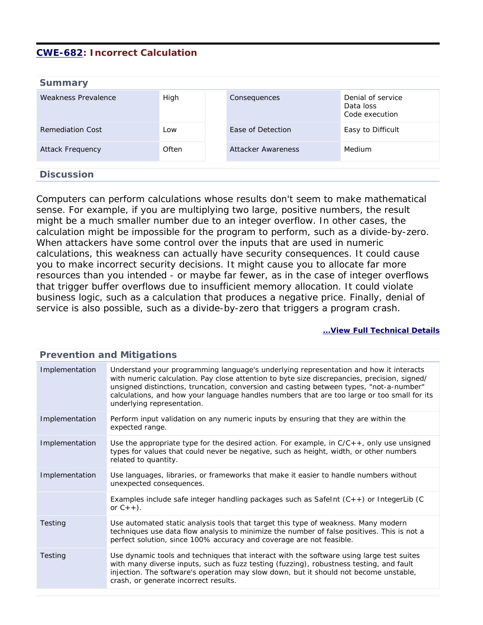### <span id="page-32-0"></span>**[CWE-682](http://cwe.mitre.org/data/definitions/682.html): Incorrect Calculation**

| <b>Summary</b>          |       |                    |                                                  |
|-------------------------|-------|--------------------|--------------------------------------------------|
| Weakness Prevalence     | High  | Consequences       | Denial of service<br>Data loss<br>Code execution |
| <b>Remediation Cost</b> | Low   | Ease of Detection  | Easy to Difficult                                |
| <b>Attack Frequency</b> | Often | Attacker Awareness | Medium                                           |
| <b>Discussion</b>       |       |                    |                                                  |

Computers can perform calculations whose results don't seem to make mathematical sense. For example, if you are multiplying two large, positive numbers, the result might be a much smaller number due to an integer overflow. In other cases, the calculation might be impossible for the program to perform, such as a divide-by-zero. When attackers have some control over the inputs that are used in numeric calculations, this weakness can actually have security consequences. It could cause you to make incorrect security decisions. It might cause you to allocate far more resources than you intended - or maybe far fewer, as in the case of integer overflows that trigger buffer overflows due to insufficient memory allocation. It could violate business logic, such as a calculation that produces a negative price. Finally, denial of service is also possible, such as a divide-by-zero that triggers a program crash.

#### **[...View Full Technical Details](http://cwe.mitre.org/data/definitions/682.html)**

| <u>FICVENTION AND MILIGATIONS</u>                                                                                                                                                                                                                                                                                                                                                                             |  |  |
|---------------------------------------------------------------------------------------------------------------------------------------------------------------------------------------------------------------------------------------------------------------------------------------------------------------------------------------------------------------------------------------------------------------|--|--|
| Understand your programming language's underlying representation and how it interacts<br>with numeric calculation. Pay close attention to byte size discrepancies, precision, signed/<br>unsigned distinctions, truncation, conversion and casting between types, "not-a-number"<br>calculations, and how your language handles numbers that are too large or too small for its<br>underlying representation. |  |  |
| Perform input validation on any numeric inputs by ensuring that they are within the<br>expected range.                                                                                                                                                                                                                                                                                                        |  |  |
| Use the appropriate type for the desired action. For example, in $C/C++$ , only use unsigned<br>types for values that could never be negative, such as height, width, or other numbers<br>related to quantity.                                                                                                                                                                                                |  |  |
| Use languages, libraries, or frameworks that make it easier to handle numbers without<br>unexpected consequences.                                                                                                                                                                                                                                                                                             |  |  |
| Examples include safe integer handling packages such as SafeInt (C++) or IntegerLib (C<br>or $C++$ ).                                                                                                                                                                                                                                                                                                         |  |  |
| Use automated static analysis tools that target this type of weakness. Many modern<br>techniques use data flow analysis to minimize the number of false positives. This is not a<br>perfect solution, since 100% accuracy and coverage are not feasible.                                                                                                                                                      |  |  |
| Use dynamic tools and techniques that interact with the software using large test suites<br>with many diverse inputs, such as fuzz testing (fuzzing), robustness testing, and fault<br>injection. The software's operation may slow down, but it should not become unstable,<br>crash, or generate incorrect results.                                                                                         |  |  |
|                                                                                                                                                                                                                                                                                                                                                                                                               |  |  |

#### **Prevention and Mitigations**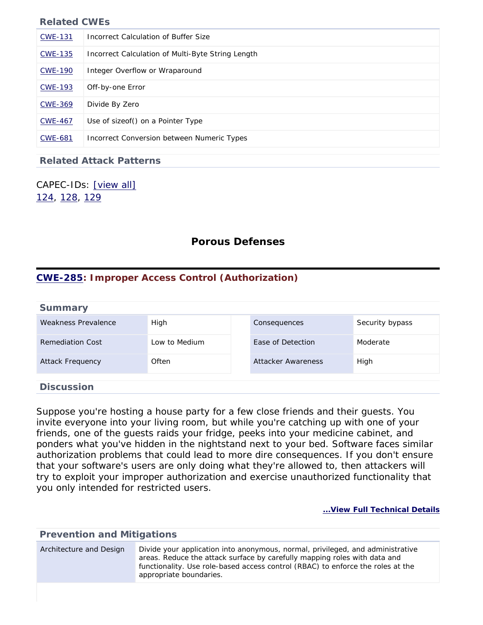| <b>CWE-131</b> | Incorrect Calculation of Buffer Size              |
|----------------|---------------------------------------------------|
| <b>CWE-135</b> | Incorrect Calculation of Multi-Byte String Length |
| <b>CWE-190</b> | Integer Overflow or Wraparound                    |
| <b>CWE-193</b> | Off-by-one Error                                  |
| <b>CWE-369</b> | Divide By Zero                                    |
| <b>CWE-467</b> | Use of sizeof() on a Pointer Type                 |
| <b>CWE-681</b> | Incorrect Conversion between Numeric Types        |

### **Related Attack Patterns**

<span id="page-33-0"></span>CAPEC-IDs: [\[view all\]](http://cwe.mitre.org/data/definitions/682.html#Related_Attack_Patterns) [124](http://capec.mitre.org/data/definitions/124.html), [128](http://capec.mitre.org/data/definitions/128.html), [129](http://capec.mitre.org/data/definitions/129.html)

### **Porous Defenses**

### <span id="page-33-1"></span>**[CWE-285](http://cwe.mitre.org/data/definitions/285.html): Improper Access Control (Authorization)**

| <b>Summary</b>          |               |                    |                 |
|-------------------------|---------------|--------------------|-----------------|
| Weakness Prevalence     | High          | Consequences       | Security bypass |
| Remediation Cost        | Low to Medium | Ease of Detection  | Moderate        |
| <b>Attack Frequency</b> | Often         | Attacker Awareness | High            |
| <b>Discussion</b>       |               |                    |                 |

Suppose you're hosting a house party for a few close friends and their guests. You invite everyone into your living room, but while you're catching up with one of your friends, one of the guests raids your fridge, peeks into your medicine cabinet, and ponders what you've hidden in the nightstand next to your bed. Software faces similar authorization problems that could lead to more dire consequences. If you don't ensure that your software's users are only doing what they're allowed to, then attackers will try to exploit your improper authorization and exercise unauthorized functionality that you only intended for restricted users.

| <b>Prevention and Mitigations</b> |                                                                                                                                                                                                                                                                           |  |
|-----------------------------------|---------------------------------------------------------------------------------------------------------------------------------------------------------------------------------------------------------------------------------------------------------------------------|--|
| Architecture and Design           | Divide your application into anonymous, normal, privileged, and administrative<br>areas. Reduce the attack surface by carefully mapping roles with data and<br>functionality. Use role-based access control (RBAC) to enforce the roles at the<br>appropriate boundaries. |  |
|                                   |                                                                                                                                                                                                                                                                           |  |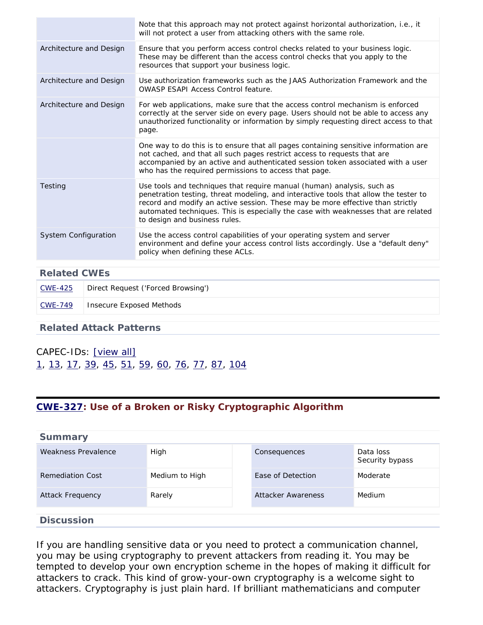|                         | Note that this approach may not protect against horizontal authorization, i.e., it<br>will not protect a user from attacking others with the same role.                                                                                                                                                                                                                 |
|-------------------------|-------------------------------------------------------------------------------------------------------------------------------------------------------------------------------------------------------------------------------------------------------------------------------------------------------------------------------------------------------------------------|
| Architecture and Design | Ensure that you perform access control checks related to your business logic.<br>These may be different than the access control checks that you apply to the<br>resources that support your business logic.                                                                                                                                                             |
| Architecture and Design | Use authorization frameworks such as the JAAS Authorization Framework and the<br><b>OWASP ESAPI Access Control feature.</b>                                                                                                                                                                                                                                             |
| Architecture and Design | For web applications, make sure that the access control mechanism is enforced<br>correctly at the server side on every page. Users should not be able to access any<br>unauthorized functionality or information by simply requesting direct access to that<br>page.                                                                                                    |
|                         | One way to do this is to ensure that all pages containing sensitive information are<br>not cached, and that all such pages restrict access to requests that are<br>accompanied by an active and authenticated session token associated with a user<br>who has the required permissions to access that page.                                                             |
| Testing                 | Use tools and techniques that require manual (human) analysis, such as<br>penetration testing, threat modeling, and interactive tools that allow the tester to<br>record and modify an active session. These may be more effective than strictly<br>automated techniques. This is especially the case with weaknesses that are related<br>to design and business rules. |
| System Configuration    | Use the access control capabilities of your operating system and server<br>environment and define your access control lists accordingly. Use a "default deny"<br>policy when defining these ACLs.                                                                                                                                                                       |

| <b>Related CWEs</b> |                                    |  |
|---------------------|------------------------------------|--|
| CWE-425             | Direct Request ('Forced Browsing') |  |
| CWE-749             | Insecure Exposed Methods           |  |
|                     |                                    |  |

#### **Related Attack Patterns**

### CAPEC-IDs: [\[view all\]](http://cwe.mitre.org/data/definitions/285.html#Related_Attack_Patterns) [1](http://capec.mitre.org/data/definitions/1.html), [13](http://capec.mitre.org/data/definitions/13.html), [17](http://capec.mitre.org/data/definitions/17.html), [39](http://capec.mitre.org/data/definitions/39.html), [45,](http://capec.mitre.org/data/definitions/45.html) [51,](http://capec.mitre.org/data/definitions/51.html) [59,](http://capec.mitre.org/data/definitions/59.html) [60,](http://capec.mitre.org/data/definitions/60.html) [76,](http://capec.mitre.org/data/definitions/76.html) [77](http://capec.mitre.org/data/definitions/77.html), [87](http://capec.mitre.org/data/definitions/87.html), [104](http://capec.mitre.org/data/definitions/104.html)

### <span id="page-34-0"></span>**[CWE-327](http://cwe.mitre.org/data/definitions/327.html): Use of a Broken or Risky Cryptographic Algorithm**

| <b>Summary</b>          |                |                    |                              |
|-------------------------|----------------|--------------------|------------------------------|
| Weakness Prevalence     | High           | Consequences       | Data loss<br>Security bypass |
| <b>Remediation Cost</b> | Medium to High | Ease of Detection  | Moderate                     |
| <b>Attack Frequency</b> | Rarely         | Attacker Awareness | Medium                       |
|                         |                |                    |                              |

#### **Discussion**

If you are handling sensitive data or you need to protect a communication channel, you may be using cryptography to prevent attackers from reading it. You may be tempted to develop your own encryption scheme in the hopes of making it difficult for attackers to crack. This kind of grow-your-own cryptography is a welcome sight to attackers. Cryptography is just plain hard. If brilliant mathematicians and computer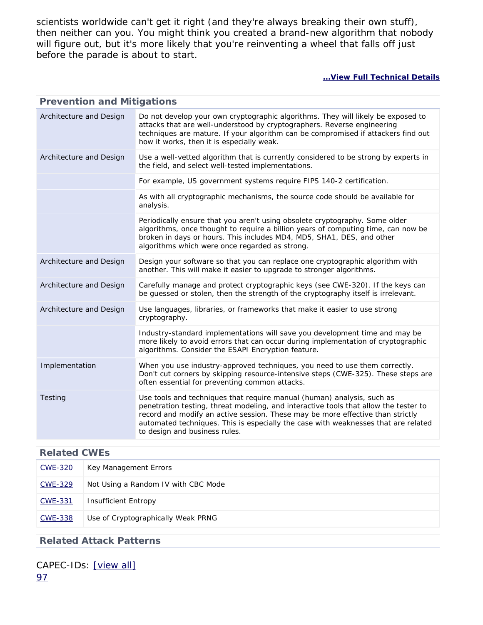scientists worldwide can't get it right (and they're always breaking their own stuff), then neither can you. You might think you created a brand-new algorithm that nobody will figure out, but it's more likely that you're reinventing a wheel that falls off just before the parade is about to start.

#### **[...View Full Technical Details](http://cwe.mitre.org/data/definitions/327.html)**

| <b>Prevention and Mitigations</b> |                                                                                                                                                                                                                                                                                                                                                                         |  |  |
|-----------------------------------|-------------------------------------------------------------------------------------------------------------------------------------------------------------------------------------------------------------------------------------------------------------------------------------------------------------------------------------------------------------------------|--|--|
| Architecture and Design           | Do not develop your own cryptographic algorithms. They will likely be exposed to<br>attacks that are well-understood by cryptographers. Reverse engineering<br>techniques are mature. If your algorithm can be compromised if attackers find out<br>how it works, then it is especially weak.                                                                           |  |  |
| Architecture and Design           | Use a well-vetted algorithm that is currently considered to be strong by experts in<br>the field, and select well-tested implementations.                                                                                                                                                                                                                               |  |  |
|                                   | For example, US government systems require FIPS 140-2 certification.                                                                                                                                                                                                                                                                                                    |  |  |
|                                   | As with all cryptographic mechanisms, the source code should be available for<br>analysis.                                                                                                                                                                                                                                                                              |  |  |
|                                   | Periodically ensure that you aren't using obsolete cryptography. Some older<br>algorithms, once thought to require a billion years of computing time, can now be<br>broken in days or hours. This includes MD4, MD5, SHA1, DES, and other<br>algorithms which were once regarded as strong.                                                                             |  |  |
| Architecture and Design           | Design your software so that you can replace one cryptographic algorithm with<br>another. This will make it easier to upgrade to stronger algorithms.                                                                                                                                                                                                                   |  |  |
| Architecture and Design           | Carefully manage and protect cryptographic keys (see CWE-320). If the keys can<br>be guessed or stolen, then the strength of the cryptography itself is irrelevant.                                                                                                                                                                                                     |  |  |
| Architecture and Design           | Use languages, libraries, or frameworks that make it easier to use strong<br>cryptography.                                                                                                                                                                                                                                                                              |  |  |
|                                   | Industry-standard implementations will save you development time and may be<br>more likely to avoid errors that can occur during implementation of cryptographic<br>algorithms. Consider the ESAPI Encryption feature.                                                                                                                                                  |  |  |
| Implementation                    | When you use industry-approved techniques, you need to use them correctly.<br>Don't cut corners by skipping resource-intensive steps (CWE-325). These steps are<br>often essential for preventing common attacks.                                                                                                                                                       |  |  |
| Testing                           | Use tools and techniques that require manual (human) analysis, such as<br>penetration testing, threat modeling, and interactive tools that allow the tester to<br>record and modify an active session. These may be more effective than strictly<br>automated techniques. This is especially the case with weaknesses that are related<br>to design and business rules. |  |  |

#### **Related CWEs**

| CWE-320        | Key Management Errors               |
|----------------|-------------------------------------|
| CWE-329        | Not Using a Random IV with CBC Mode |
| CWE-331        | Insufficient Entropy                |
| <b>CWE-338</b> | Use of Cryptographically Weak PRNG  |

#### **Related Attack Patterns**

<span id="page-35-0"></span>CAPEC-IDs: [\[view all\]](http://cwe.mitre.org/data/definitions/327.html#Related_Attack_Patterns) [97](http://capec.mitre.org/data/definitions/97.html)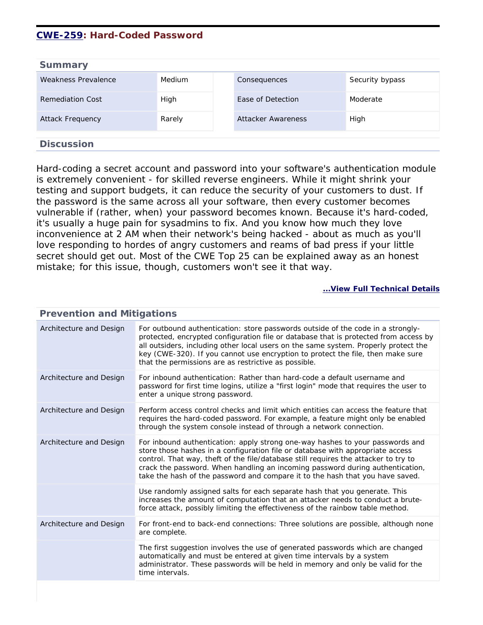### **[CWE-259](http://cwe.mitre.org/data/definitions/259.html): Hard-Coded Password**

| <b>Summary</b>          |        |                    |                 |
|-------------------------|--------|--------------------|-----------------|
| Weakness Prevalence     | Medium | Consequences       | Security bypass |
| Remediation Cost        | High   | Ease of Detection  | Moderate        |
| <b>Attack Frequency</b> | Rarely | Attacker Awareness | High            |
| <b>Discussion</b>       |        |                    |                 |

Hard-coding a secret account and password into your software's authentication module is extremely convenient - for skilled reverse engineers. While it might shrink your testing and support budgets, it can reduce the security of your customers to dust. If the password is the same across all your software, then every customer becomes vulnerable if (rather, when) your password becomes known. Because it's hard-coded, it's usually a huge pain for sysadmins to fix. And you know how much they love inconvenience at 2 AM when their network's being hacked - about as much as you'll love responding to hordes of angry customers and reams of bad press if your little secret should get out. Most of the CWE Top 25 can be explained away as an honest mistake; for this issue, though, customers won't see it that way.

| <b>Prevention and Mitigations</b> |                                                                                                                                                                                                                                                                                                                                                                                                                          |  |
|-----------------------------------|--------------------------------------------------------------------------------------------------------------------------------------------------------------------------------------------------------------------------------------------------------------------------------------------------------------------------------------------------------------------------------------------------------------------------|--|
| Architecture and Design           | For outbound authentication: store passwords outside of the code in a strongly-<br>protected, encrypted configuration file or database that is protected from access by<br>all outsiders, including other local users on the same system. Properly protect the<br>key (CWE-320). If you cannot use encryption to protect the file, then make sure<br>that the permissions are as restrictive as possible.                |  |
| Architecture and Design           | For inbound authentication: Rather than hard-code a default username and<br>password for first time logins, utilize a "first login" mode that requires the user to<br>enter a unique strong password.                                                                                                                                                                                                                    |  |
| Architecture and Design           | Perform access control checks and limit which entities can access the feature that<br>requires the hard-coded password. For example, a feature might only be enabled<br>through the system console instead of through a network connection.                                                                                                                                                                              |  |
| Architecture and Design           | For inbound authentication: apply strong one-way hashes to your passwords and<br>store those hashes in a configuration file or database with appropriate access<br>control. That way, theft of the file/database still requires the attacker to try to<br>crack the password. When handling an incoming password during authentication,<br>take the hash of the password and compare it to the hash that you have saved. |  |
|                                   | Use randomly assigned salts for each separate hash that you generate. This<br>increases the amount of computation that an attacker needs to conduct a brute-<br>force attack, possibly limiting the effectiveness of the rainbow table method.                                                                                                                                                                           |  |
| Architecture and Design           | For front-end to back-end connections: Three solutions are possible, although none<br>are complete.                                                                                                                                                                                                                                                                                                                      |  |
|                                   | The first suggestion involves the use of generated passwords which are changed<br>automatically and must be entered at given time intervals by a system<br>administrator. These passwords will be held in memory and only be valid for the<br>time intervals.                                                                                                                                                            |  |
|                                   |                                                                                                                                                                                                                                                                                                                                                                                                                          |  |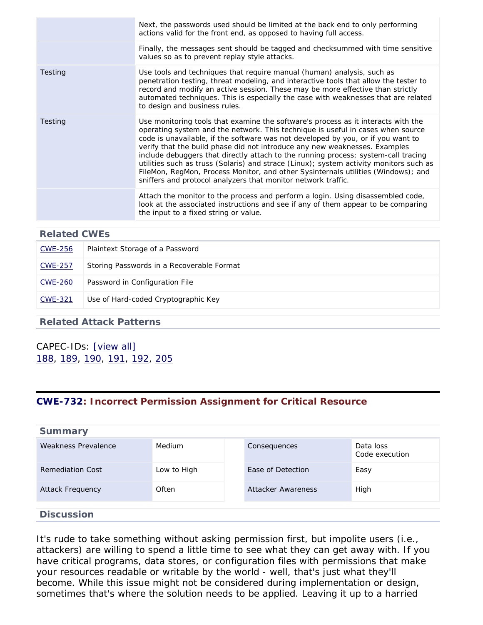|         | Next, the passwords used should be limited at the back end to only performing<br>actions valid for the front end, as opposed to having full access.                                                                                                                                                                                                                                                                                                                                                                                                                                                                                                                          |
|---------|------------------------------------------------------------------------------------------------------------------------------------------------------------------------------------------------------------------------------------------------------------------------------------------------------------------------------------------------------------------------------------------------------------------------------------------------------------------------------------------------------------------------------------------------------------------------------------------------------------------------------------------------------------------------------|
|         | Finally, the messages sent should be tagged and checksummed with time sensitive<br>values so as to prevent replay style attacks.                                                                                                                                                                                                                                                                                                                                                                                                                                                                                                                                             |
| Testing | Use tools and techniques that require manual (human) analysis, such as<br>penetration testing, threat modeling, and interactive tools that allow the tester to<br>record and modify an active session. These may be more effective than strictly<br>automated techniques. This is especially the case with weaknesses that are related<br>to design and business rules.                                                                                                                                                                                                                                                                                                      |
| Testing | Use monitoring tools that examine the software's process as it interacts with the<br>operating system and the network. This technique is useful in cases when source<br>code is unavailable, if the software was not developed by you, or if you want to<br>verify that the build phase did not introduce any new weaknesses. Examples<br>include debuggers that directly attach to the running process; system-call tracing<br>utilities such as truss (Solaris) and strace (Linux); system activity monitors such as<br>FileMon, RegMon, Process Monitor, and other Sysinternals utilities (Windows); and<br>sniffers and protocol analyzers that monitor network traffic. |
|         | Attach the monitor to the process and perform a login. Using disassembled code,<br>look at the associated instructions and see if any of them appear to be comparing<br>the input to a fixed string or value.                                                                                                                                                                                                                                                                                                                                                                                                                                                                |

| <b>Related CWEs</b> |                                           |
|---------------------|-------------------------------------------|
| <b>CWE-256</b>      | Plaintext Storage of a Password           |
| <b>CWE-257</b>      | Storing Passwords in a Recoverable Format |
| <b>CWE-260</b>      | Password in Configuration File            |
| <b>CWE-321</b>      | Use of Hard-coded Cryptographic Key       |
|                     |                                           |

#### **Related Attack Patterns**

### CAPEC-IDs: [\[view all\]](http://cwe.mitre.org/data/definitions/259.html#Related_Attack_Patterns) [188](http://capec.mitre.org/data/definitions/188.html), [189](http://capec.mitre.org/data/definitions/189.html), [190](http://capec.mitre.org/data/definitions/190.html), [191,](http://capec.mitre.org/data/definitions/191.html) [192,](http://capec.mitre.org/data/definitions/192.html) [205](http://capec.mitre.org/data/definitions/205.html)

### <span id="page-37-0"></span>**[CWE-732](http://cwe.mitre.org/data/definitions/732.html): Incorrect Permission Assignment for Critical Resource**

| <b>Summary</b>      |               |                    |                             |
|---------------------|---------------|--------------------|-----------------------------|
| Weakness Prevalence | <b>Medium</b> | Consequences       | Data loss<br>Code execution |
| Remediation Cost    | Low to High   | Ease of Detection  | Easy                        |
| Attack Frequency    | Often         | Attacker Awareness | High                        |
| <b>Discussion</b>   |               |                    |                             |

It's rude to take something without asking permission first, but impolite users (i.e., attackers) are willing to spend a little time to see what they can get away with. If you have critical programs, data stores, or configuration files with permissions that make your resources readable or writable by the world - well, that's just what they'll become. While this issue might not be considered during implementation or design, sometimes that's where the solution needs to be applied. Leaving it up to a harried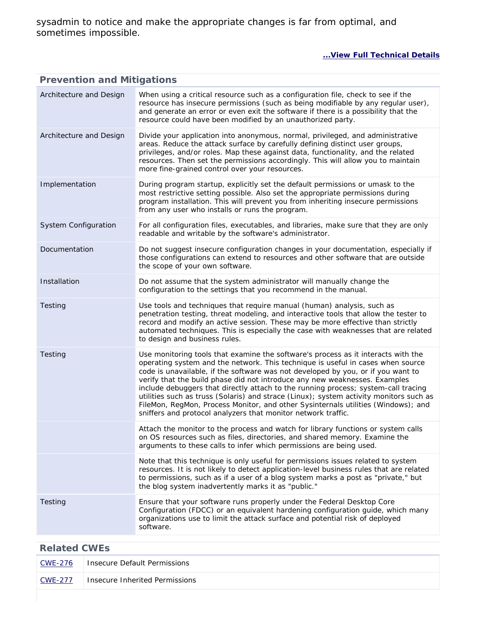sysadmin to notice and make the appropriate changes is far from optimal, and sometimes impossible.

#### **[...View Full Technical Details](http://cwe.mitre.org/data/definitions/732.html)**

#### **Prevention and Mitigations** Architecture and Design When using a critical resource such as a configuration file, check to see if the resource has insecure permissions (such as being modifiable by any regular user), and generate an error or even exit the software if there is a possibility that the resource could have been modified by an unauthorized party. Architecture and Design Divide your application into anonymous, normal, privileged, and administrative areas. Reduce the attack surface by carefully defining distinct user groups, privileges, and/or roles. Map these against data, functionality, and the related resources. Then set the permissions accordingly. This will allow you to maintain more fine-grained control over your resources. Implementation During program startup, explicitly set the default permissions or umask to the most restrictive setting possible. Also set the appropriate permissions during program installation. This will prevent you from inheriting insecure permissions from any user who installs or runs the program. System Configuration For all configuration files, executables, and libraries, make sure that they are only readable and writable by the software's administrator. Documentation Do not suggest insecure configuration changes in your documentation, especially if those configurations can extend to resources and other software that are outside the scope of your own software. Installation Do not assume that the system administrator will manually change the configuration to the settings that you recommend in the manual. Testing Use tools and techniques that require manual (human) analysis, such as penetration testing, threat modeling, and interactive tools that allow the tester to record and modify an active session. These may be more effective than strictly automated techniques. This is especially the case with weaknesses that are related to design and business rules. Testing Use monitoring tools that examine the software's process as it interacts with the operating system and the network. This technique is useful in cases when source code is unavailable, if the software was not developed by you, or if you want to verify that the build phase did not introduce any new weaknesses. Examples include debuggers that directly attach to the running process; system-call tracing utilities such as truss (Solaris) and strace (Linux); system activity monitors such as FileMon, RegMon, Process Monitor, and other Sysinternals utilities (Windows); and sniffers and protocol analyzers that monitor network traffic. Attach the monitor to the process and watch for library functions or system calls on OS resources such as files, directories, and shared memory. Examine the arguments to these calls to infer which permissions are being used. Note that this technique is only useful for permissions issues related to system resources. It is not likely to detect application-level business rules that are related to permissions, such as if a user of a blog system marks a post as "private," but the blog system inadvertently marks it as "public." Testing Ensure that your software runs properly under the Federal Desktop Core Configuration (FDCC) or an equivalent hardening configuration guide, which many organizations use to limit the attack surface and potential risk of deployed software.

#### **Related CWEs**

| CWE-276        | <b>Insecure Default Permissions</b> |
|----------------|-------------------------------------|
| <u>CWE-277</u> | Insecure Inherited Permissions      |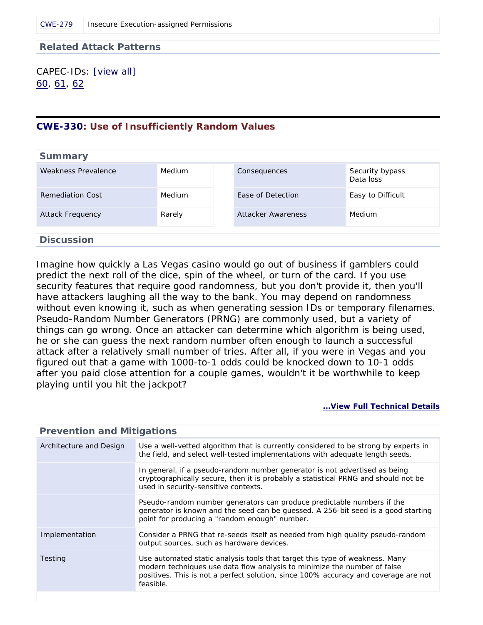#### **Related Attack Patterns**

CAPEC-IDs: [\[view all\]](http://cwe.mitre.org/data/definitions/732.html#Related_Attack_Patterns) [60,](http://capec.mitre.org/data/definitions/60.html) [61,](http://capec.mitre.org/data/definitions/61.html) [62](http://capec.mitre.org/data/definitions/62.html)

#### <span id="page-39-0"></span>**[CWE-330](http://cwe.mitre.org/data/definitions/330.html): Use of Insufficiently Random Values**

| <b>Summary</b>                  |        |                           |                              |
|---------------------------------|--------|---------------------------|------------------------------|
| Weakness Prevalence             | Medium | Consequences              | Security bypass<br>Data loss |
| <b>Remediation Cost</b>         | Medium | Ease of Detection         | Easy to Difficult            |
| <b>Attack Frequency</b>         | Rarely | <b>Attacker Awareness</b> | Medium                       |
|                                 |        |                           |                              |
| marked and a state of the state |        |                           |                              |

## **Discussion**

Imagine how quickly a Las Vegas casino would go out of business if gamblers could predict the next roll of the dice, spin of the wheel, or turn of the card. If you use security features that require good randomness, but you don't provide it, then you'll have attackers laughing all the way to the bank. You may depend on randomness without even knowing it, such as when generating session IDs or temporary filenames. Pseudo-Random Number Generators (PRNG) are commonly used, but a variety of things can go wrong. Once an attacker can determine which algorithm is being used, he or she can guess the next random number often enough to launch a successful attack after a relatively small number of tries. After all, if you were in Vegas and you figured out that a game with 1000-to-1 odds could be knocked down to 10-1 odds after you paid close attention for a couple games, wouldn't it be worthwhile to keep playing until you hit the jackpot?

| <b>Prevention and Mitigations</b> |                                                                                                                                                                                                                                                             |  |
|-----------------------------------|-------------------------------------------------------------------------------------------------------------------------------------------------------------------------------------------------------------------------------------------------------------|--|
| Architecture and Design           | Use a well-vetted algorithm that is currently considered to be strong by experts in<br>the field, and select well-tested implementations with adequate length seeds.                                                                                        |  |
|                                   | In general, if a pseudo-random number generator is not advertised as being<br>cryptographically secure, then it is probably a statistical PRNG and should not be<br>used in security-sensitive contexts.                                                    |  |
|                                   | Pseudo-random number generators can produce predictable numbers if the<br>generator is known and the seed can be guessed. A 256-bit seed is a good starting<br>point for producing a "random enough" number.                                                |  |
| Implementation                    | Consider a PRNG that re-seeds itself as needed from high quality pseudo-random<br>output sources, such as hardware devices.                                                                                                                                 |  |
| Testing                           | Use automated static analysis tools that target this type of weakness. Many<br>modern techniques use data flow analysis to minimize the number of false<br>positives. This is not a perfect solution, since 100% accuracy and coverage are not<br>feasible. |  |
|                                   |                                                                                                                                                                                                                                                             |  |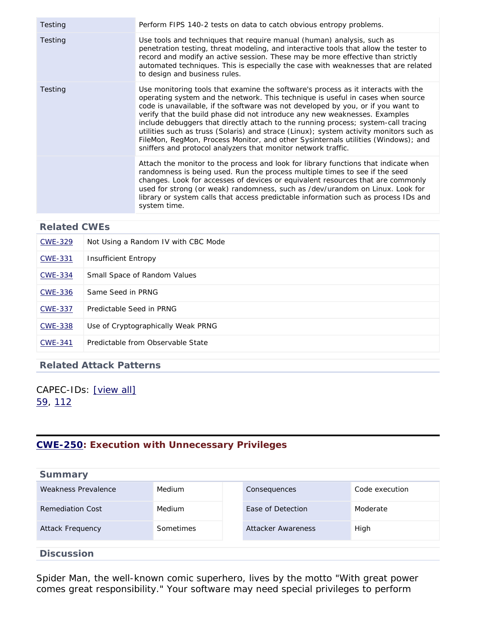| Testing | Perform FIPS 140-2 tests on data to catch obvious entropy problems.                                                                                                                                                                                                                                                                                                                                                                                                                                                                                                                                                                                                          |
|---------|------------------------------------------------------------------------------------------------------------------------------------------------------------------------------------------------------------------------------------------------------------------------------------------------------------------------------------------------------------------------------------------------------------------------------------------------------------------------------------------------------------------------------------------------------------------------------------------------------------------------------------------------------------------------------|
| Testing | Use tools and techniques that require manual (human) analysis, such as<br>penetration testing, threat modeling, and interactive tools that allow the tester to<br>record and modify an active session. These may be more effective than strictly<br>automated techniques. This is especially the case with weaknesses that are related<br>to design and business rules.                                                                                                                                                                                                                                                                                                      |
| Testing | Use monitoring tools that examine the software's process as it interacts with the<br>operating system and the network. This technique is useful in cases when source<br>code is unavailable, if the software was not developed by you, or if you want to<br>verify that the build phase did not introduce any new weaknesses. Examples<br>include debuggers that directly attach to the running process; system-call tracing<br>utilities such as truss (Solaris) and strace (Linux); system activity monitors such as<br>FileMon, RegMon, Process Monitor, and other Sysinternals utilities (Windows); and<br>sniffers and protocol analyzers that monitor network traffic. |
|         | Attach the monitor to the process and look for library functions that indicate when<br>randomness is being used. Run the process multiple times to see if the seed<br>changes. Look for accesses of devices or equivalent resources that are commonly<br>used for strong (or weak) randomness, such as /dev/urandom on Linux. Look for<br>library or system calls that access predictable information such as process IDs and<br>system time.                                                                                                                                                                                                                                |

| <b>CWE-329</b> | Not Using a Random IV with CBC Mode |
|----------------|-------------------------------------|
| <b>CWE-331</b> | <b>Insufficient Entropy</b>         |
| <b>CWE-334</b> | Small Space of Random Values        |
| <b>CWE-336</b> | Same Seed in PRNG                   |
| <b>CWE-337</b> | Predictable Seed in PRNG            |
| <b>CWE-338</b> | Use of Cryptographically Weak PRNG  |
| <b>CWE-341</b> | Predictable from Observable State   |

#### **Related Attack Patterns**

### CAPEC-IDs: [\[view all\]](http://cwe.mitre.org/data/definitions/330.html#Related_Attack_Patterns) [59,](http://capec.mitre.org/data/definitions/59.html) [112](http://capec.mitre.org/data/definitions/112.html)

### <span id="page-40-0"></span>**[CWE-250](http://cwe.mitre.org/data/definitions/250.html): Execution with Unnecessary Privileges**

| <b>Summary</b>          |           |                    |                |
|-------------------------|-----------|--------------------|----------------|
| Weakness Prevalence     | Medium    | Consequences       | Code execution |
| <b>Remediation Cost</b> | Medium    | Ease of Detection  | Moderate       |
| Attack Frequency        | Sometimes | Attacker Awareness | High           |
| <b>Discussion</b>       |           |                    |                |

Spider Man, the well-known comic superhero, lives by the motto "With great power comes great responsibility." Your software may need special privileges to perform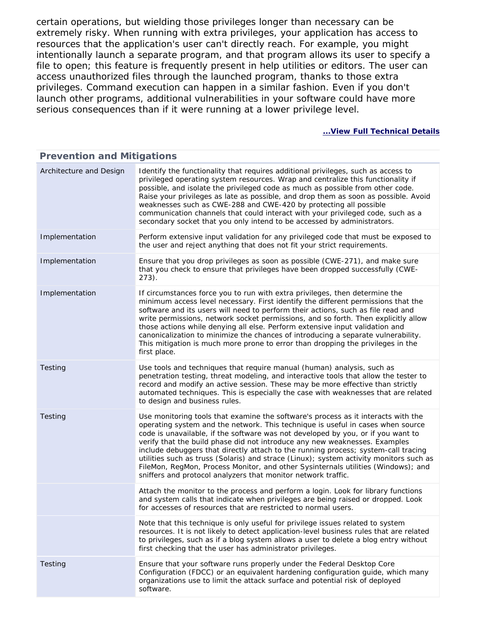certain operations, but wielding those privileges longer than necessary can be extremely risky. When running with extra privileges, your application has access to resources that the application's user can't directly reach. For example, you might intentionally launch a separate program, and that program allows its user to specify a file to open; this feature is frequently present in help utilities or editors. The user can access unauthorized files through the launched program, thanks to those extra privileges. Command execution can happen in a similar fashion. Even if you don't launch other programs, additional vulnerabilities in your software could have more serious consequences than if it were running at a lower privilege level.

| <b>Prevention and Mitigations</b> |                                                                                                                                                                                                                                                                                                                                                                                                                                                                                                                                                                                                                                                                              |  |  |
|-----------------------------------|------------------------------------------------------------------------------------------------------------------------------------------------------------------------------------------------------------------------------------------------------------------------------------------------------------------------------------------------------------------------------------------------------------------------------------------------------------------------------------------------------------------------------------------------------------------------------------------------------------------------------------------------------------------------------|--|--|
| Architecture and Design           | Identify the functionality that requires additional privileges, such as access to<br>privileged operating system resources. Wrap and centralize this functionality if<br>possible, and isolate the privileged code as much as possible from other code.<br>Raise your privileges as late as possible, and drop them as soon as possible. Avoid<br>weaknesses such as CWE-288 and CWE-420 by protecting all possible<br>communication channels that could interact with your privileged code, such as a<br>secondary socket that you only intend to be accessed by administrators.                                                                                            |  |  |
| Implementation                    | Perform extensive input validation for any privileged code that must be exposed to<br>the user and reject anything that does not fit your strict requirements.                                                                                                                                                                                                                                                                                                                                                                                                                                                                                                               |  |  |
| Implementation                    | Ensure that you drop privileges as soon as possible (CWE-271), and make sure<br>that you check to ensure that privileges have been dropped successfully (CWE-<br>$273$ ).                                                                                                                                                                                                                                                                                                                                                                                                                                                                                                    |  |  |
| Implementation                    | If circumstances force you to run with extra privileges, then determine the<br>minimum access level necessary. First identify the different permissions that the<br>software and its users will need to perform their actions, such as file read and<br>write permissions, network socket permissions, and so forth. Then explicitly allow<br>those actions while denying all else. Perform extensive input validation and<br>canonicalization to minimize the chances of introducing a separate vulnerability.<br>This mitigation is much more prone to error than dropping the privileges in the<br>first place.                                                           |  |  |
| Testing                           | Use tools and techniques that require manual (human) analysis, such as<br>penetration testing, threat modeling, and interactive tools that allow the tester to<br>record and modify an active session. These may be more effective than strictly<br>automated techniques. This is especially the case with weaknesses that are related<br>to design and business rules.                                                                                                                                                                                                                                                                                                      |  |  |
| Testing                           | Use monitoring tools that examine the software's process as it interacts with the<br>operating system and the network. This technique is useful in cases when source<br>code is unavailable, if the software was not developed by you, or if you want to<br>verify that the build phase did not introduce any new weaknesses. Examples<br>include debuggers that directly attach to the running process; system-call tracing<br>utilities such as truss (Solaris) and strace (Linux); system activity monitors such as<br>FileMon, RegMon, Process Monitor, and other Sysinternals utilities (Windows); and<br>sniffers and protocol analyzers that monitor network traffic. |  |  |
|                                   | Attach the monitor to the process and perform a login. Look for library functions<br>and system calls that indicate when privileges are being raised or dropped. Look<br>for accesses of resources that are restricted to normal users.                                                                                                                                                                                                                                                                                                                                                                                                                                      |  |  |
|                                   | Note that this technique is only useful for privilege issues related to system<br>resources. It is not likely to detect application-level business rules that are related<br>to privileges, such as if a blog system allows a user to delete a blog entry without<br>first checking that the user has administrator privileges.                                                                                                                                                                                                                                                                                                                                              |  |  |
| Testing                           | Ensure that your software runs properly under the Federal Desktop Core<br>Configuration (FDCC) or an equivalent hardening configuration guide, which many<br>organizations use to limit the attack surface and potential risk of deployed<br>software.                                                                                                                                                                                                                                                                                                                                                                                                                       |  |  |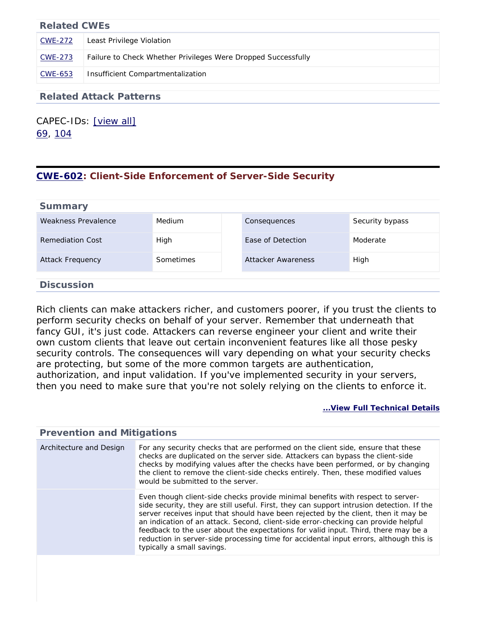| <b>Related CWEs</b> |                                                               |
|---------------------|---------------------------------------------------------------|
| CWE-272             | Least Privilege Violation                                     |
| CWE-273             | Failure to Check Whether Privileges Were Dropped Successfully |
| CWE-653             | Insufficient Compartmentalization                             |

#### **Related Attack Patterns**

CAPEC-IDs: [\[view all\]](http://cwe.mitre.org/data/definitions/250.html#Related_Attack_Patterns) [69,](http://capec.mitre.org/data/definitions/69.html) [104](http://capec.mitre.org/data/definitions/104.html)

### <span id="page-42-0"></span>**[CWE-602](http://cwe.mitre.org/data/definitions/602.html): Client-Side Enforcement of Server-Side Security**

| <b>Summary</b>      |           |                    |                 |
|---------------------|-----------|--------------------|-----------------|
| Weakness Prevalence | Medium    | Consequences       | Security bypass |
| Remediation Cost    | High      | Ease of Detection  | Moderate        |
| Attack Frequency    | Sometimes | Attacker Awareness | High            |
| <b>Discussion</b>   |           |                    |                 |

Rich clients can make attackers richer, and customers poorer, if you trust the clients to perform security checks on behalf of your server. Remember that underneath that fancy GUI, it's just code. Attackers can reverse engineer your client and write their own custom clients that leave out certain inconvenient features like all those pesky security controls. The consequences will vary depending on what your security checks are protecting, but some of the more common targets are authentication, authorization, and input validation. If you've implemented security in your servers, then you need to make sure that you're not solely relying on the clients to enforce it.

#### **[...View Full Technical Details](http://cwe.mitre.org/data/definitions/602.html)**

#### **Prevention and Mitigations** Architecture and Design For any security checks that are performed on the client side, ensure that these checks are duplicated on the server side. Attackers can bypass the client-side checks by modifying values after the checks have been performed, or by changing the client to remove the client-side checks entirely. Then, these modified values would be submitted to the server. Even though client-side checks provide minimal benefits with respect to serverside security, they are still useful. First, they can support intrusion detection. If the server receives input that should have been rejected by the client, then it may be an indication of an attack. Second, client-side error-checking can provide helpful feedback to the user about the expectations for valid input. Third, there may be a reduction in server-side processing time for accidental input errors, although this is typically a small savings.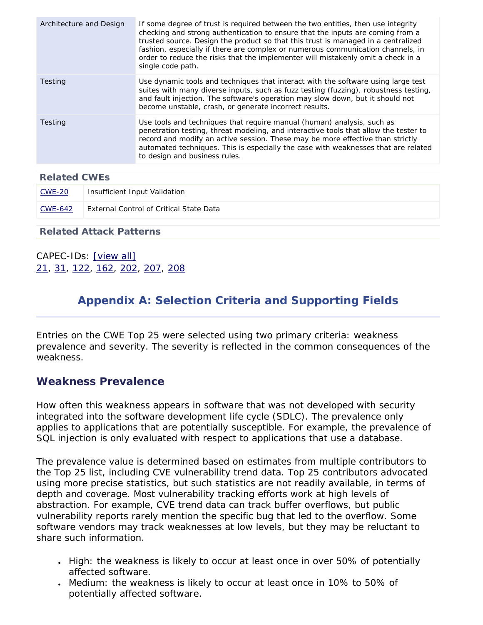| Architecture and Design | If some degree of trust is required between the two entities, then use integrity<br>checking and strong authentication to ensure that the inputs are coming from a<br>trusted source. Design the product so that this trust is managed in a centralized<br>fashion, especially if there are complex or numerous communication channels, in<br>order to reduce the risks that the implementer will mistakenly omit a check in a<br>single code path. |
|-------------------------|-----------------------------------------------------------------------------------------------------------------------------------------------------------------------------------------------------------------------------------------------------------------------------------------------------------------------------------------------------------------------------------------------------------------------------------------------------|
| Testing                 | Use dynamic tools and techniques that interact with the software using large test<br>suites with many diverse inputs, such as fuzz testing (fuzzing), robustness testing,<br>and fault injection. The software's operation may slow down, but it should not<br>become unstable, crash, or generate incorrect results.                                                                                                                               |
| Testing                 | Use tools and techniques that require manual (human) analysis, such as<br>penetration testing, threat modeling, and interactive tools that allow the tester to<br>record and modify an active session. These may be more effective than strictly<br>automated techniques. This is especially the case with weaknesses that are related<br>to design and business rules.                                                                             |
|                         |                                                                                                                                                                                                                                                                                                                                                                                                                                                     |
| <b>Related CWEs</b>     |                                                                                                                                                                                                                                                                                                                                                                                                                                                     |
|                         |                                                                                                                                                                                                                                                                                                                                                                                                                                                     |

| <u>CWE-20</u> | Insufficient Input Validation                  |
|---------------|------------------------------------------------|
| CWE-642       | <b>External Control of Critical State Data</b> |

### **Related Attack Patterns**

<span id="page-43-0"></span>CAPEC-IDs: [\[view all\]](http://cwe.mitre.org/data/definitions/602.html#Related_Attack_Patterns) [21,](http://capec.mitre.org/data/definitions/21.html) [31,](http://capec.mitre.org/data/definitions/31.html) [122,](http://capec.mitre.org/data/definitions/122.html) [162](http://capec.mitre.org/data/definitions/162.html), [202](http://capec.mitre.org/data/definitions/202.html), [207,](http://capec.mitre.org/data/definitions/207.html) [208](http://capec.mitre.org/data/definitions/208.html)

# **Appendix A: Selection Criteria and Supporting Fields**

Entries on the CWE Top 25 were selected using two primary criteria: weakness prevalence and severity. The severity is reflected in the common consequences of the weakness.

### **Weakness Prevalence**

How often this weakness appears in software that was not developed with security integrated into the software development life cycle (SDLC). The prevalence only applies to applications that are potentially susceptible. For example, the prevalence of SQL injection is only evaluated with respect to applications that use a database.

The prevalence value is determined based on estimates from multiple contributors to the Top 25 list, including CVE vulnerability trend data. Top 25 contributors advocated using more precise statistics, but such statistics are not readily available, in terms of depth and coverage. Most vulnerability tracking efforts work at high levels of abstraction. For example, CVE trend data can track buffer overflows, but public vulnerability reports rarely mention the specific bug that led to the overflow. Some software vendors may track weaknesses at low levels, but they may be reluctant to share such information.

- High: the weakness is likely to occur at least once in over 50% of potentially affected software.
- Medium: the weakness is likely to occur at least once in 10% to 50% of potentially affected software.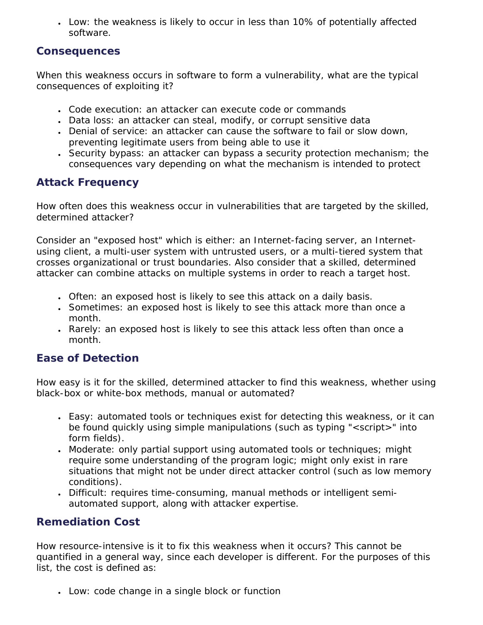• Low: the weakness is likely to occur in less than 10% of potentially affected software.

### **Consequences**

When this weakness occurs in software to form a vulnerability, what are the typical consequences of exploiting it?

- Code execution: an attacker can execute code or commands
- Data loss: an attacker can steal, modify, or corrupt sensitive data
- Denial of service: an attacker can cause the software to fail or slow down, preventing legitimate users from being able to use it
- Security bypass: an attacker can bypass a security protection mechanism; the consequences vary depending on what the mechanism is intended to protect

### **Attack Frequency**

How often does this weakness occur in vulnerabilities that are targeted by the skilled, determined attacker?

Consider an "exposed host" which is either: an Internet-facing server, an Internetusing client, a multi-user system with untrusted users, or a multi-tiered system that crosses organizational or trust boundaries. Also consider that a skilled, determined attacker can combine attacks on multiple systems in order to reach a target host.

- Often: an exposed host is likely to see this attack on a daily basis.
- Sometimes: an exposed host is likely to see this attack more than once a month.
- Rarely: an exposed host is likely to see this attack less often than once a month.

### **Ease of Detection**

How easy is it for the skilled, determined attacker to find this weakness, whether using black-box or white-box methods, manual or automated?

- Easy: automated tools or techniques exist for detecting this weakness, or it can be found quickly using simple manipulations (such as typing "<script>" into form fields).
- Moderate: only partial support using automated tools or techniques; might require some understanding of the program logic; might only exist in rare situations that might not be under direct attacker control (such as low memory conditions).
- Difficult: requires time-consuming, manual methods or intelligent semiautomated support, along with attacker expertise.

### **Remediation Cost**

How resource-intensive is it to fix this weakness when it occurs? This cannot be quantified in a general way, since each developer is different. For the purposes of this list, the cost is defined as:

• Low: code change in a single block or function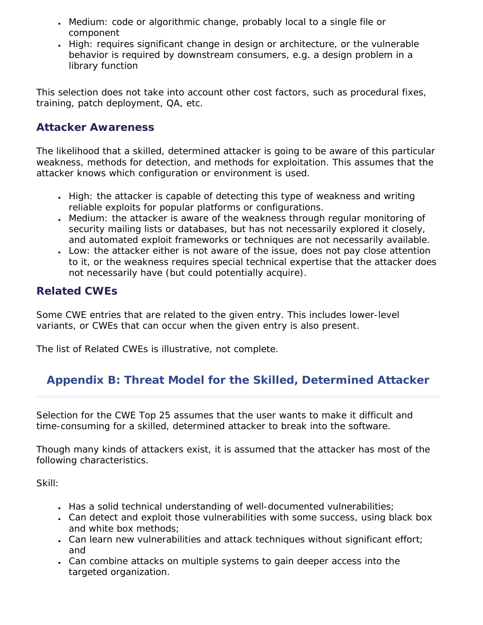- Medium: code or algorithmic change, probably local to a single file or component
- High: requires significant change in design or architecture, or the vulnerable behavior is required by downstream consumers, e.g. a design problem in a library function

This selection does not take into account other cost factors, such as procedural fixes, training, patch deployment, QA, etc.

# **Attacker Awareness**

The likelihood that a skilled, determined attacker is going to be aware of this particular weakness, methods for detection, and methods for exploitation. This assumes that the attacker knows which configuration or environment is used.

- High: the attacker is capable of detecting this type of weakness and writing reliable exploits for popular platforms or configurations.
- Medium: the attacker is aware of the weakness through regular monitoring of security mailing lists or databases, but has not necessarily explored it closely, and automated exploit frameworks or techniques are not necessarily available.
- Low: the attacker either is not aware of the issue, does not pay close attention to it, or the weakness requires special technical expertise that the attacker does not necessarily have (but could potentially acquire).

# **Related CWEs**

Some CWE entries that are related to the given entry. This includes lower-level variants, or CWEs that can occur when the given entry is also present.

<span id="page-45-0"></span>The list of Related CWEs is illustrative, not complete.

# **Appendix B: Threat Model for the Skilled, Determined Attacker**

Selection for the CWE Top 25 assumes that the user wants to make it difficult and time-consuming for a skilled, determined attacker to break into the software.

Though many kinds of attackers exist, it is assumed that the attacker has most of the following characteristics.

Skill:

- Has a solid technical understanding of well-documented vulnerabilities;
- Can detect and exploit those vulnerabilities with some success, using black box and white box methods;
- Can learn new vulnerabilities and attack techniques without significant effort; and
- Can combine attacks on multiple systems to gain deeper access into the targeted organization.